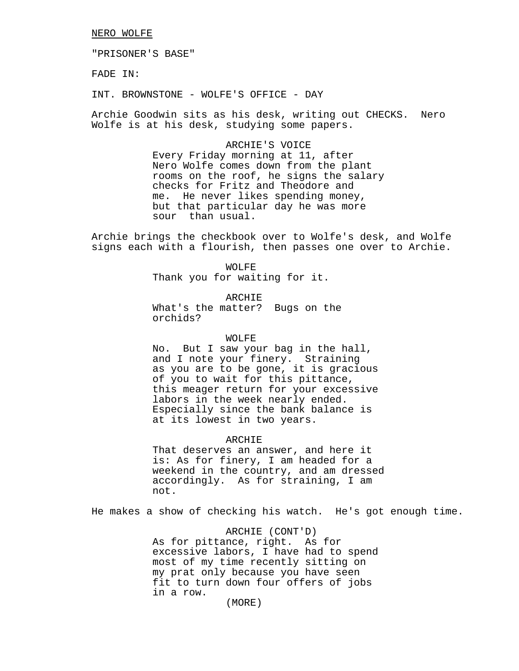#### NERO WOLFE

"PRISONER'S BASE"

FADE IN:

INT. BROWNSTONE - WOLFE'S OFFICE - DAY

Archie Goodwin sits as his desk, writing out CHECKS. Nero Wolfe is at his desk, studying some papers.

> ARCHIE'S VOICE Every Friday morning at 11, after Nero Wolfe comes down from the plant rooms on the roof, he signs the salary checks for Fritz and Theodore and me. He never likes spending money, but that particular day he was more sour than usual.

Archie brings the checkbook over to Wolfe's desk, and Wolfe signs each with a flourish, then passes one over to Archie.

> WOLFE Thank you for waiting for it.

ARCHIE What's the matter? Bugs on the orchids?

#### WOLFE

No. But I saw your bag in the hall, and I note your finery. Straining as you are to be gone, it is gracious of you to wait for this pittance, this meager return for your excessive labors in the week nearly ended. Especially since the bank balance is at its lowest in two years.

#### ARCHIE

That deserves an answer, and here it is: As for finery, I am headed for a weekend in the country, and am dressed accordingly. As for straining, I am not.

He makes a show of checking his watch. He's got enough time.

ARCHIE (CONT'D) As for pittance, right. As for excessive labors, I have had to spend most of my time recently sitting on my prat only because you have seen fit to turn down four offers of jobs in a row.

(MORE)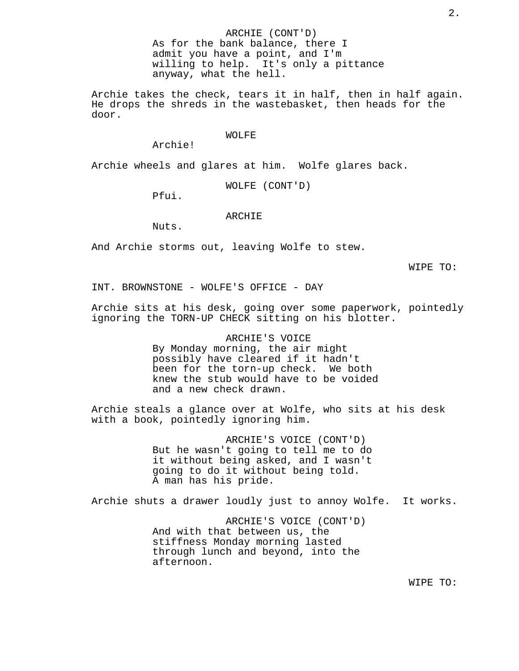ARCHIE (CONT'D) As for the bank balance, there I admit you have a point, and I'm willing to help. It's only a pittance anyway, what the hell.

Archie takes the check, tears it in half, then in half again. He drops the shreds in the wastebasket, then heads for the door.

#### WOLFE

Archie!

Archie wheels and glares at him. Wolfe glares back.

WOLFE (CONT'D)

Pfui.

#### ARCHIE

Nuts.

And Archie storms out, leaving Wolfe to stew.

WIPE TO:

INT. BROWNSTONE - WOLFE'S OFFICE - DAY

Archie sits at his desk, going over some paperwork, pointedly ignoring the TORN-UP CHECK sitting on his blotter.

> ARCHIE'S VOICE By Monday morning, the air might possibly have cleared if it hadn't been for the torn-up check. We both knew the stub would have to be voided and a new check drawn.

Archie steals a glance over at Wolfe, who sits at his desk with a book, pointedly ignoring him.

> ARCHIE'S VOICE (CONT'D) But he wasn't going to tell me to do it without being asked, and I wasn't going to do it without being told. A man has his pride.

Archie shuts a drawer loudly just to annoy Wolfe. It works.

ARCHIE'S VOICE (CONT'D) And with that between us, the stiffness Monday morning lasted through lunch and beyond, into the afternoon.

WIPE TO: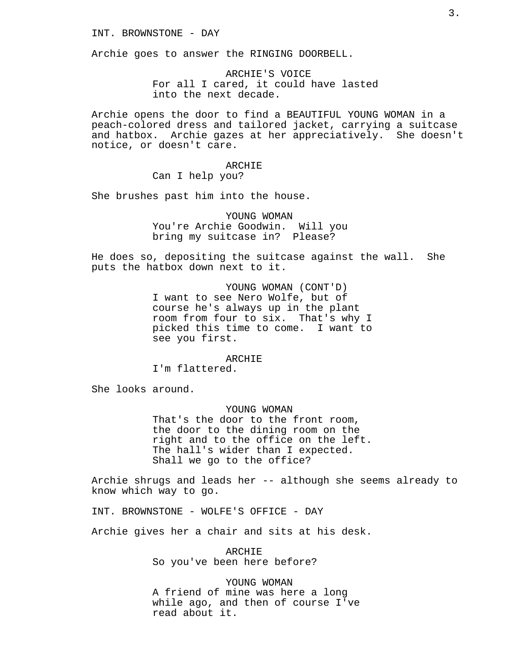INT. BROWNSTONE - DAY

Archie goes to answer the RINGING DOORBELL.

ARCHIE'S VOICE For all I cared, it could have lasted into the next decade.

Archie opens the door to find a BEAUTIFUL YOUNG WOMAN in a peach-colored dress and tailored jacket, carrying a suitcase and hatbox. Archie gazes at her appreciatively. She doesn't notice, or doesn't care.

> ARCHIE Can I help you?

She brushes past him into the house.

YOUNG WOMAN You're Archie Goodwin. Will you bring my suitcase in? Please?

He does so, depositing the suitcase against the wall. She puts the hatbox down next to it.

> YOUNG WOMAN (CONT'D) I want to see Nero Wolfe, but of course he's always up in the plant room from four to six. That's why I picked this time to come. I want to see you first.

> > ARCHIE

I'm flattered.

She looks around.

YOUNG WOMAN That's the door to the front room, the door to the dining room on the right and to the office on the left. The hall's wider than I expected. Shall we go to the office?

Archie shrugs and leads her -- although she seems already to know which way to go.

INT. BROWNSTONE - WOLFE'S OFFICE - DAY

Archie gives her a chair and sits at his desk.

ARCHIE So you've been here before?

YOUNG WOMAN A friend of mine was here a long while ago, and then of course I've read about it.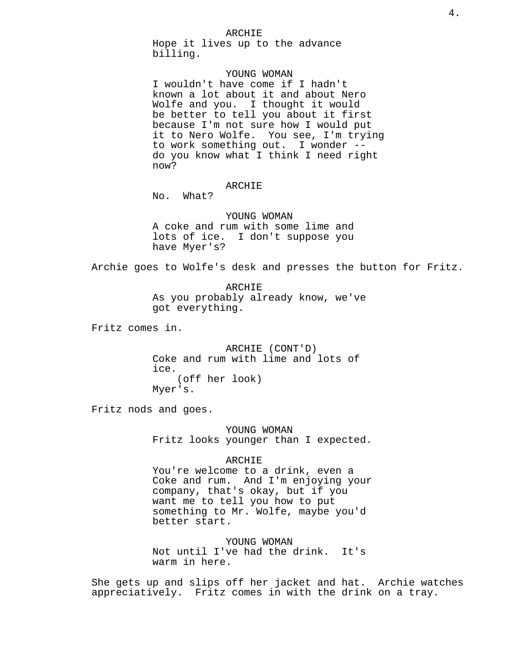Hope it lives up to the advance billing.

## YOUNG WOMAN

I wouldn't have come if I hadn't known a lot about it and about Nero Wolfe and you. I thought it would be better to tell you about it first because I'm not sure how I would put it to Nero Wolfe. You see, I'm trying to work something out. I wonder - do you know what I think I need right now?

## ARCHIE

No. What?

YOUNG WOMAN A coke and rum with some lime and lots of ice. I don't suppose you have Myer's?

Archie goes to Wolfe's desk and presses the button for Fritz.

ARCHIE As you probably already know, we've got everything.

Fritz comes in.

ARCHIE (CONT'D) Coke and rum with lime and lots of ice. (off her look) Myer's.

Fritz nods and goes.

YOUNG WOMAN Fritz looks younger than I expected.

#### ARCHIE

You're welcome to a drink, even a Coke and rum. And I'm enjoying your company, that's okay, but if you want me to tell you how to put something to Mr. Wolfe, maybe you'd better start.

YOUNG WOMAN Not until I've had the drink. It's warm in here.

She gets up and slips off her jacket and hat. Archie watches appreciatively. Fritz comes in with the drink on a tray.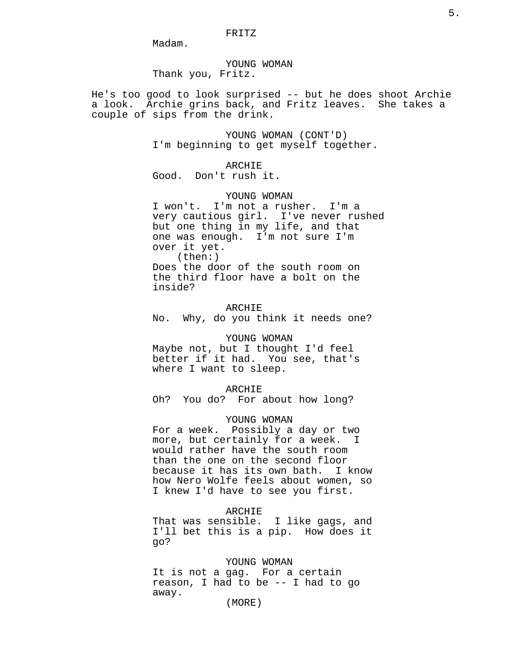Madam.

YOUNG WOMAN Thank you, Fritz.

He's too good to look surprised -- but he does shoot Archie a look. Archie grins back, and Fritz leaves. She takes a couple of sips from the drink.

> YOUNG WOMAN (CONT'D) I'm beginning to get myself together.

ARCHIE Good. Don't rush it.

YOUNG WOMAN

I won't. I'm not a rusher. I'm a very cautious girl. I've never rushed but one thing in my life, and that one was enough. I'm not sure I'm over it yet. (then:) Does the door of the south room on the third floor have a bolt on the inside?

ARCHIE No. Why, do you think it needs one?

#### YOUNG WOMAN

Maybe not, but I thought I'd feel better if it had. You see, that's where I want to sleep.

#### ARCHIE

Oh? You do? For about how long?

## YOUNG WOMAN

For a week. Possibly a day or two more, but certainly for a week. I would rather have the south room than the one on the second floor because it has its own bath. I know how Nero Wolfe feels about women, so I knew I'd have to see you first.

#### ARCHIE

That was sensible. I like gags, and I'll bet this is a pip. How does it go?

## YOUNG WOMAN

It is not a gag. For a certain reason, I had to be -- I had to go away.

(MORE)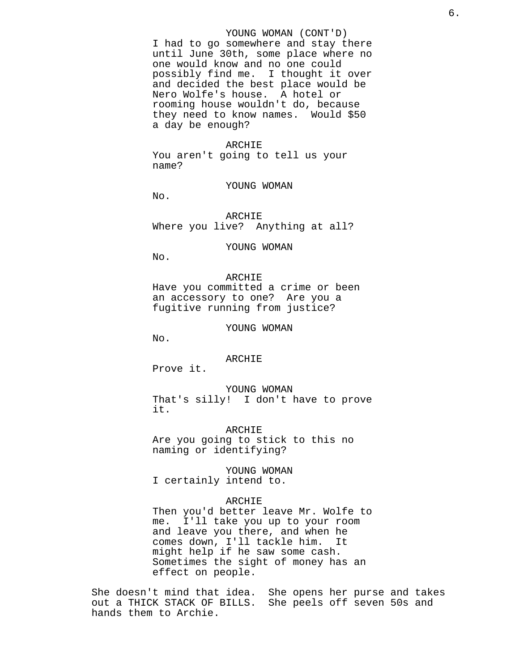#### YOUNG WOMAN (CONT'D)

I had to go somewhere and stay there until June 30th, some place where no one would know and no one could possibly find me. I thought it over and decided the best place would be Nero Wolfe's house. A hotel or rooming house wouldn't do, because they need to know names. Would \$50 a day be enough?

#### ARCHIE

You aren't going to tell us your name?

YOUNG WOMAN

No.

ARCHIE Where you live? Anything at all?

YOUNG WOMAN

No.

ARCHIE Have you committed a crime or been an accessory to one? Are you a fugitive running from justice?

YOUNG WOMAN

No.

ARCHIE

Prove it.

YOUNG WOMAN That's silly! I don't have to prove it.

ARCHIE Are you going to stick to this no naming or identifying?

YOUNG WOMAN I certainly intend to.

#### ARCHIE

Then you'd better leave Mr. Wolfe to me. I'll take you up to your room and leave you there, and when he comes down, I'll tackle him. It might help if he saw some cash. Sometimes the sight of money has an effect on people.

She doesn't mind that idea. She opens her purse and takes out a THICK STACK OF BILLS. She peels off seven 50s and hands them to Archie.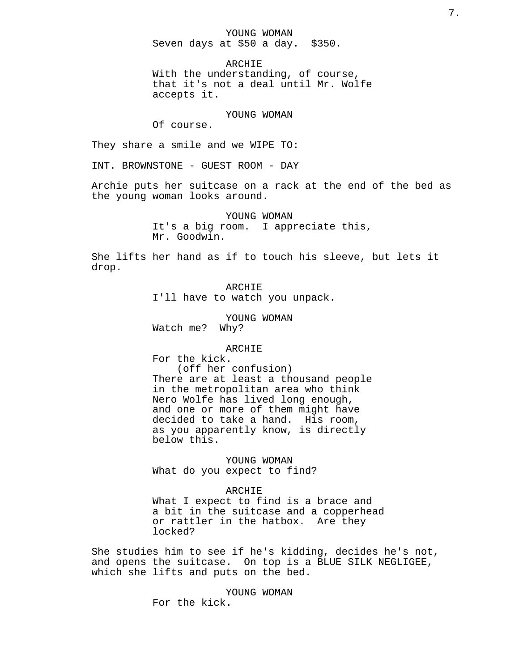YOUNG WOMAN Seven days at \$50 a day. \$350.

ARCHIE With the understanding, of course, that it's not a deal until Mr. Wolfe accepts it.

YOUNG WOMAN

Of course.

They share a smile and we WIPE TO:

INT. BROWNSTONE - GUEST ROOM - DAY

Archie puts her suitcase on a rack at the end of the bed as the young woman looks around.

> YOUNG WOMAN It's a big room. I appreciate this, Mr. Goodwin.

She lifts her hand as if to touch his sleeve, but lets it drop.

> ARCHIE I'll have to watch you unpack.

YOUNG WOMAN Watch me? Why?

## ARCHIE

For the kick. (off her confusion) There are at least a thousand people in the metropolitan area who think Nero Wolfe has lived long enough, and one or more of them might have decided to take a hand. His room, as you apparently know, is directly below this.

YOUNG WOMAN What do you expect to find?

ARCHIE What I expect to find is a brace and a bit in the suitcase and a copperhead or rattler in the hatbox. Are they locked?

She studies him to see if he's kidding, decides he's not, and opens the suitcase. On top is a BLUE SILK NEGLIGEE, which she lifts and puts on the bed.

> YOUNG WOMAN For the kick.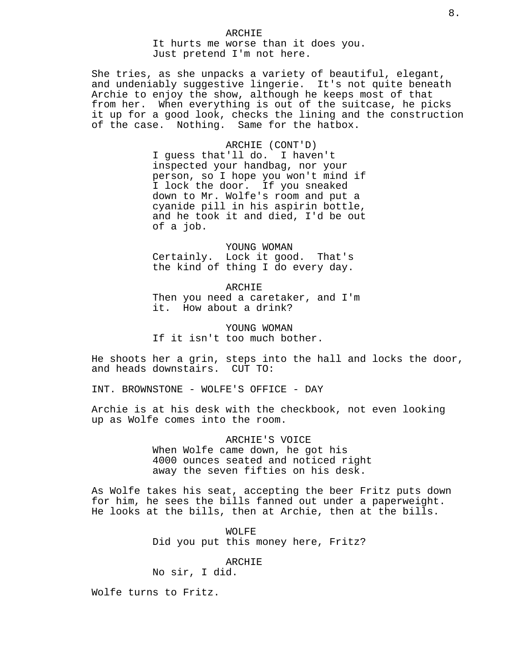She tries, as she unpacks a variety of beautiful, elegant, and undeniably suggestive lingerie. It's not quite beneath Archie to enjoy the show, although he keeps most of that from her. When everything is out of the suitcase, he picks it up for a good look, checks the lining and the construction of the case. Nothing. Same for the hatbox.

> ARCHIE (CONT'D) I guess that'll do. I haven't inspected your handbag, nor your person, so I hope you won't mind if I lock the door. If you sneaked down to Mr. Wolfe's room and put a cyanide pill in his aspirin bottle, and he took it and died, I'd be out of a job.

YOUNG WOMAN Certainly. Lock it good. That's the kind of thing I do every day.

ARCHIE Then you need a caretaker, and I'm it. How about a drink?

YOUNG WOMAN If it isn't too much bother.

He shoots her a grin, steps into the hall and locks the door, and heads downstairs. CUT TO:

INT. BROWNSTONE - WOLFE'S OFFICE - DAY

Archie is at his desk with the checkbook, not even looking up as Wolfe comes into the room.

> ARCHIE'S VOICE When Wolfe came down, he got his 4000 ounces seated and noticed right away the seven fifties on his desk.

As Wolfe takes his seat, accepting the beer Fritz puts down for him, he sees the bills fanned out under a paperweight. He looks at the bills, then at Archie, then at the bills.

> WOLFE Did you put this money here, Fritz?

#### ARCHIE

No sir, I did.

Wolfe turns to Fritz.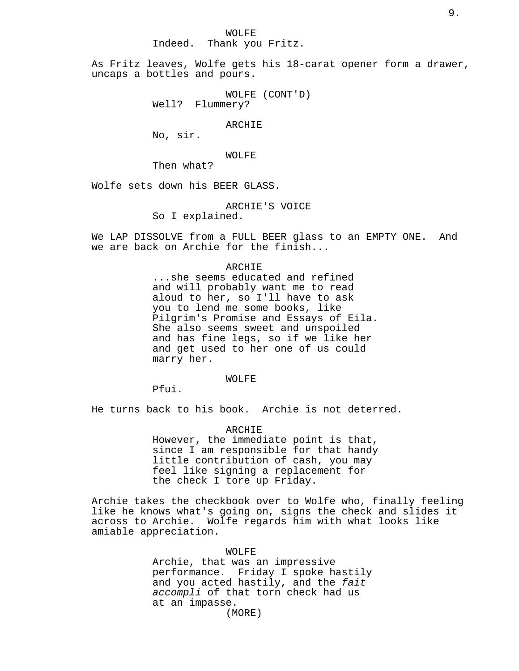WOLFE

Indeed. Thank you Fritz.

As Fritz leaves, Wolfe gets his 18-carat opener form a drawer, uncaps a bottles and pours.

> WOLFE (CONT'D) Well? Flummery?

> > ARCHIE

No, sir.

## WOLFE

Then what?

Wolfe sets down his BEER GLASS.

## ARCHIE'S VOICE

So I explained.

We LAP DISSOLVE from a FULL BEER glass to an EMPTY ONE. And we are back on Archie for the finish...

## ARCHIE

...she seems educated and refined and will probably want me to read aloud to her, so I'll have to ask you to lend me some books, like Pilgrim's Promise and Essays of Eila. She also seems sweet and unspoiled and has fine legs, so if we like her and get used to her one of us could marry her.

#### WOLFE

Pfui.

He turns back to his book. Archie is not deterred.

#### ARCHIE

However, the immediate point is that, since I am responsible for that handy little contribution of cash, you may feel like signing a replacement for the check I tore up Friday.

Archie takes the checkbook over to Wolfe who, finally feeling like he knows what's going on, signs the check and slides it across to Archie. Wolfe regards him with what looks like amiable appreciation.

> WOLFE Archie, that was an impressive performance. Friday I spoke hastily and you acted hastily, and the fait accompli of that torn check had us at an impasse. (MORE)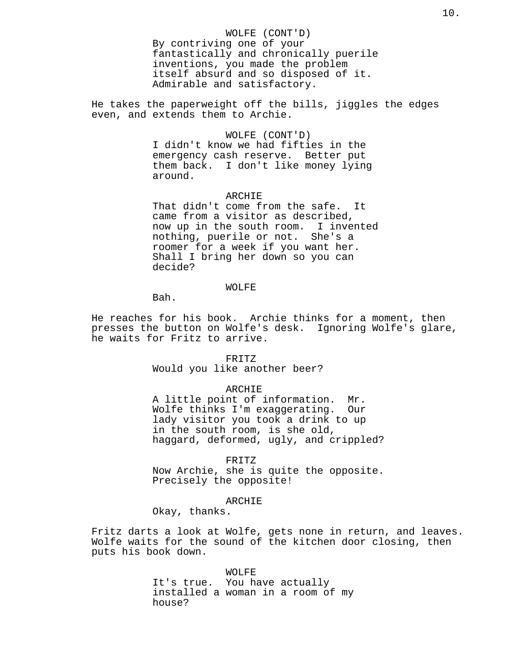#### WOLFE (CONT'D)

By contriving one of your fantastically and chronically puerile inventions, you made the problem itself absurd and so disposed of it. Admirable and satisfactory.

He takes the paperweight off the bills, jiggles the edges even, and extends them to Archie.

## WOLFE (CONT'D)

I didn't know we had fifties in the emergency cash reserve. Better put them back. I don't like money lying around.

## ARCHIE

That didn't come from the safe. It came from a visitor as described, now up in the south room. I invented nothing, puerile or not. She's a roomer for a week if you want her. Shall I bring her down so you can decide?

## WOLFE

Bah.

He reaches for his book. Archie thinks for a moment, then presses the button on Wolfe's desk. Ignoring Wolfe's glare, he waits for Fritz to arrive.

## FRITZ

Would you like another beer?

#### ARCHIE

A little point of information. Mr. Wolfe thinks I'm exaggerating. Our lady visitor you took a drink to up in the south room, is she old, haggard, deformed, ugly, and crippled?

#### FRITZ

Now Archie, she is quite the opposite. Precisely the opposite!

#### ARCHIE

Okay, thanks.

Fritz darts a look at Wolfe, gets none in return, and leaves. Wolfe waits for the sound of the kitchen door closing, then puts his book down.

## WOLFE

It's true. You have actually installed a woman in a room of my house?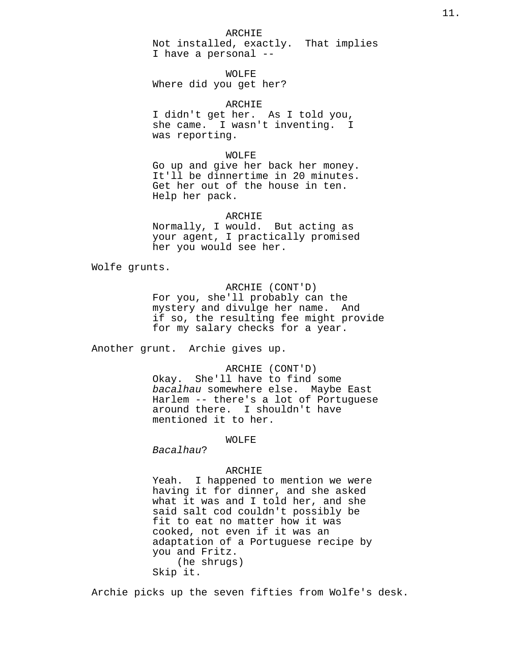## ARCHIE

Not installed, exactly. That implies I have a personal --

WOLFE Where did you get her?

ARCHIE I didn't get her. As I told you, she came. I wasn't inventing. I was reporting.

#### WOLFE

Go up and give her back her money. It'll be dinnertime in 20 minutes. Get her out of the house in ten. Help her pack.

ARCHIE

Normally, I would. But acting as your agent, I practically promised her you would see her.

Wolfe grunts.

## ARCHIE (CONT'D)

For you, she'll probably can the mystery and divulge her name. And if so, the resulting fee might provide for my salary checks for a year.

Another grunt. Archie gives up.

## ARCHIE (CONT'D)

Okay. She'll have to find some bacalhau somewhere else. Maybe East Harlem -- there's a lot of Portuguese around there. I shouldn't have mentioned it to her.

#### WOLFE

Bacalhau?

## ARCHIE

Yeah. I happened to mention we were having it for dinner, and she asked what it was and I told her, and she said salt cod couldn't possibly be fit to eat no matter how it was cooked, not even if it was an adaptation of a Portuguese recipe by you and Fritz. (he shrugs) Skip it.

Archie picks up the seven fifties from Wolfe's desk.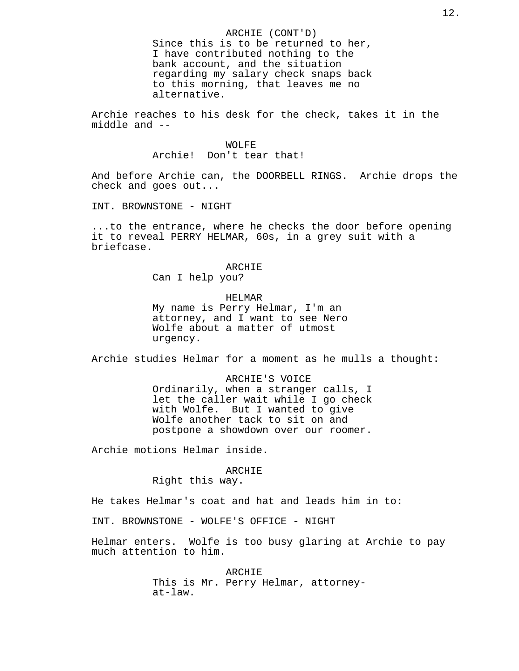ARCHIE (CONT'D) Since this is to be returned to her, I have contributed nothing to the bank account, and the situation regarding my salary check snaps back to this morning, that leaves me no alternative.

Archie reaches to his desk for the check, takes it in the middle and --

#### WOLFE

Archie! Don't tear that!

And before Archie can, the DOORBELL RINGS. Archie drops the check and goes out...

INT. BROWNSTONE - NIGHT

...to the entrance, where he checks the door before opening it to reveal PERRY HELMAR, 60s, in a grey suit with a briefcase.

## ARCHIE

Can I help you?

#### HELMAR

My name is Perry Helmar, I'm an attorney, and I want to see Nero Wolfe about a matter of utmost urgency.

Archie studies Helmar for a moment as he mulls a thought:

ARCHIE'S VOICE Ordinarily, when a stranger calls, I let the caller wait while I go check with Wolfe. But I wanted to give Wolfe another tack to sit on and postpone a showdown over our roomer.

Archie motions Helmar inside.

#### ARCHIE

Right this way.

He takes Helmar's coat and hat and leads him in to:

INT. BROWNSTONE - WOLFE'S OFFICE - NIGHT

Helmar enters. Wolfe is too busy glaring at Archie to pay much attention to him.

> ARCHIE This is Mr. Perry Helmar, attorneyat-law.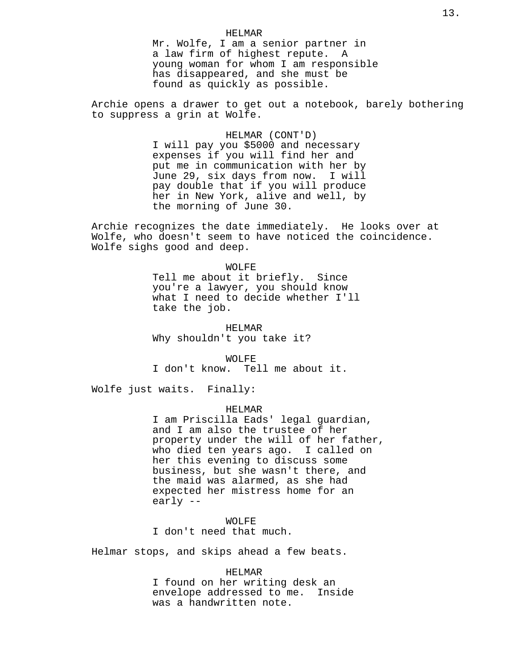## HELMAR Mr. Wolfe, I am a senior partner in a law firm of highest repute. A young woman for whom I am responsible has disappeared, and she must be found as quickly as possible.

Archie opens a drawer to get out a notebook, barely bothering to suppress a grin at Wolfe.

> HELMAR (CONT'D) I will pay you \$5000 and necessary expenses if you will find her and put me in communication with her by June 29, six days from now. I will pay double that if you will produce her in New York, alive and well, by the morning of June 30.

Archie recognizes the date immediately. He looks over at Wolfe, who doesn't seem to have noticed the coincidence. Wolfe sighs good and deep.

> WOLFE Tell me about it briefly. Since you're a lawyer, you should know what I need to decide whether I'll take the job.

HELMAR Why shouldn't you take it?

WOLFE I don't know. Tell me about it.

Wolfe just waits. Finally:

#### HELMAR

I am Priscilla Eads' legal guardian, and I am also the trustee of her property under the will of her father, who died ten years ago. I called on her this evening to discuss some business, but she wasn't there, and the maid was alarmed, as she had expected her mistress home for an early --

WOLFE I don't need that much.

Helmar stops, and skips ahead a few beats.

#### HELMAR

I found on her writing desk an envelope addressed to me. Inside was a handwritten note.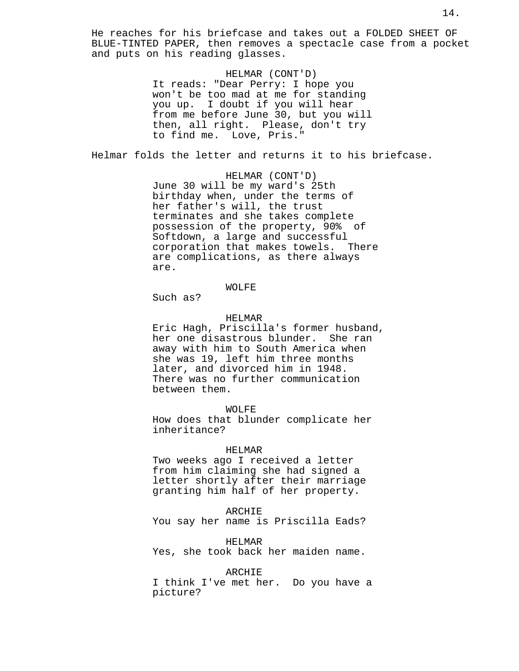He reaches for his briefcase and takes out a FOLDED SHEET OF BLUE-TINTED PAPER, then removes a spectacle case from a pocket and puts on his reading glasses.

> HELMAR (CONT'D) It reads: "Dear Perry: I hope you won't be too mad at me for standing you up. I doubt if you will hear from me before June 30, but you will then, all right. Please, don't try to find me. Love, Pris."

Helmar folds the letter and returns it to his briefcase.

HELMAR (CONT'D) June 30 will be my ward's 25th birthday when, under the terms of her father's will, the trust terminates and she takes complete possession of the property, 90% of Softdown, a large and successful corporation that makes towels. There are complications, as there always are.

## WOLFE

Such as?

## HELMAR

Eric Hagh, Priscilla's former husband, her one disastrous blunder. She ran away with him to South America when she was 19, left him three months later, and divorced him in 1948. There was no further communication between them.

#### WOLFE

How does that blunder complicate her inheritance?

#### HELMAR

Two weeks ago I received a letter from him claiming she had signed a letter shortly after their marriage granting him half of her property.

#### ARCHIE

You say her name is Priscilla Eads?

HELMAR

Yes, she took back her maiden name.

## ARCHIE

I think I've met her. Do you have a picture?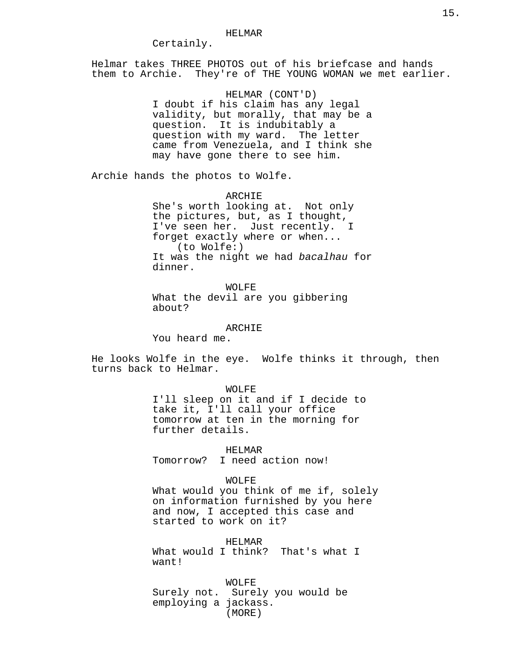#### HELMAR

Certainly.

Helmar takes THREE PHOTOS out of his briefcase and hands them to Archie. They're of THE YOUNG WOMAN we met earlier.

> HELMAR (CONT'D) I doubt if his claim has any legal validity, but morally, that may be a question. It is indubitably a question with my ward. The letter came from Venezuela, and I think she may have gone there to see him.

Archie hands the photos to Wolfe.

ARCHIE She's worth looking at. Not only the pictures, but, as I thought, I've seen her. Just recently. I forget exactly where or when... (to Wolfe:) It was the night we had bacalhau for dinner.

WOLFE What the devil are you gibbering about?

ARCHIE

You heard me.

He looks Wolfe in the eye. Wolfe thinks it through, then turns back to Helmar.

#### WOLFE

I'll sleep on it and if I decide to take it, I'll call your office tomorrow at ten in the morning for further details.

HELMAR Tomorrow? I need action now!

## WOLFE

What would you think of me if, solely on information furnished by you here and now, I accepted this case and started to work on it?

HELMAR

What would I think? That's what I want!

WOLFE Surely not. Surely you would be employing a jackass. (MORE)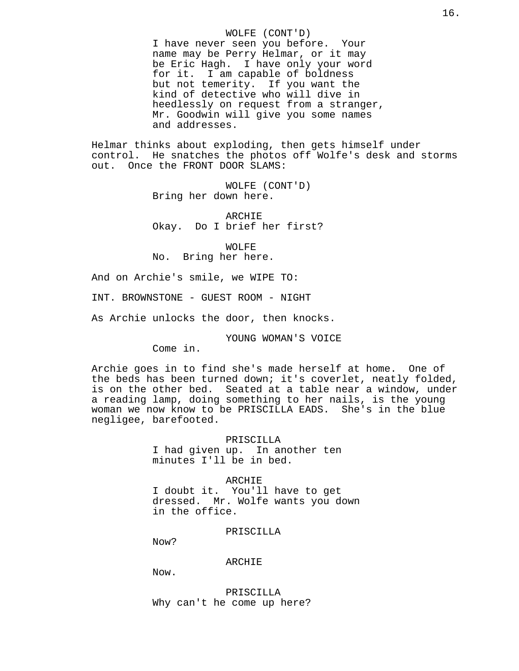WOLFE (CONT'D) I have never seen you before. Your name may be Perry Helmar, or it may be Eric Hagh. I have only your word for it. I am capable of boldness but not temerity. If you want the kind of detective who will dive in heedlessly on request from a stranger, Mr. Goodwin will give you some names and addresses.

Helmar thinks about exploding, then gets himself under control. He snatches the photos off Wolfe's desk and storms out. Once the FRONT DOOR SLAMS:

> WOLFE (CONT'D) Bring her down here.

ARCHIE Okay. Do I brief her first?

WOLFE No. Bring her here.

And on Archie's smile, we WIPE TO:

INT. BROWNSTONE - GUEST ROOM - NIGHT

As Archie unlocks the door, then knocks.

YOUNG WOMAN'S VOICE

Come in.

Archie goes in to find she's made herself at home. One of the beds has been turned down; it's coverlet, neatly folded, is on the other bed. Seated at a table near a window, under a reading lamp, doing something to her nails, is the young woman we now know to be PRISCILLA EADS. She's in the blue negligee, barefooted.

> PRISCILLA I had given up. In another ten minutes I'll be in bed.

ARCHIE I doubt it. You'll have to get dressed. Mr. Wolfe wants you down in the office.

PRISCILLA

Now?

ARCHIE

Now.

PRISCILLA Why can't he come up here?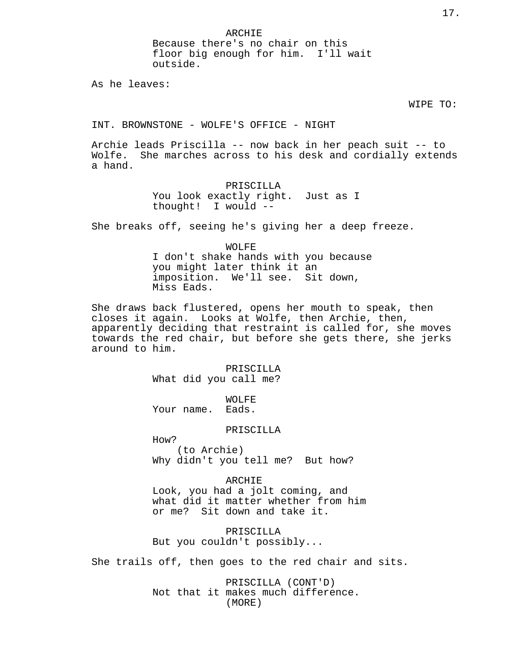ARCHIE Because there's no chair on this floor big enough for him. I'll wait outside.

As he leaves:

#### WIPE TO:

INT. BROWNSTONE - WOLFE'S OFFICE - NIGHT

Archie leads Priscilla -- now back in her peach suit -- to Wolfe. She marches across to his desk and cordially extends a hand.

## PRISCILLA You look exactly right. Just as I thought! I would --

She breaks off, seeing he's giving her a deep freeze.

WOLFE I don't shake hands with you because you might later think it an imposition. We'll see. Sit down, Miss Eads.

She draws back flustered, opens her mouth to speak, then closes it again. Looks at Wolfe, then Archie, then, apparently deciding that restraint is called for, she moves towards the red chair, but before she gets there, she jerks around to him.

> PRISCILLA What did you call me?

WOLFE Your name. Eads.

## PRISCILLA

How? (to Archie) Why didn't you tell me? But how?

ARCHIE Look, you had a jolt coming, and what did it matter whether from him or me? Sit down and take it.

PRISCILLA But you couldn't possibly...

She trails off, then goes to the red chair and sits.

PRISCILLA (CONT'D) Not that it makes much difference. (MORE)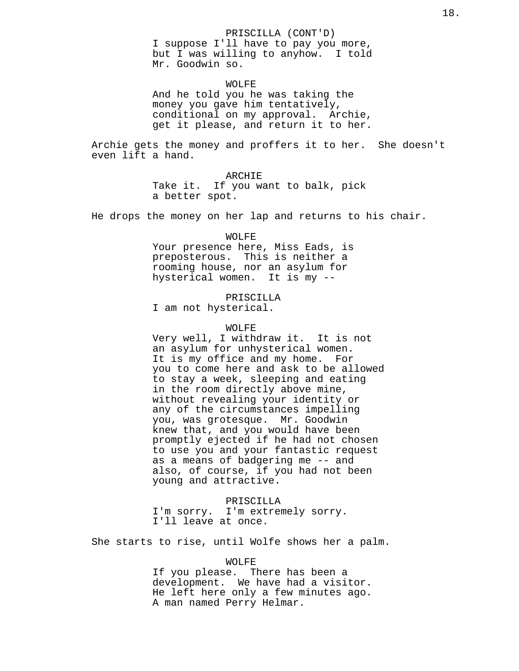#### PRISCILLA (CONT'D)

I suppose I'll have to pay you more, but I was willing to anyhow. I told Mr. Goodwin so.

#### WOLFE

And he told you he was taking the money you gave him tentatively, conditional on my approval. Archie, get it please, and return it to her.

Archie gets the money and proffers it to her. She doesn't even lift a hand.

#### ARCHIE

Take it. If you want to balk, pick a better spot.

He drops the money on her lap and returns to his chair.

### WOLFE

Your presence here, Miss Eads, is preposterous. This is neither a rooming house, nor an asylum for hysterical women. It is my --

#### PRISCILLA

I am not hysterical.

#### WOLFE

Very well, I withdraw it. It is not an asylum for unhysterical women. It is my office and my home. For you to come here and ask to be allowed to stay a week, sleeping and eating in the room directly above mine, without revealing your identity or any of the circumstances impelling you, was grotesque. Mr. Goodwin knew that, and you would have been promptly ejected if he had not chosen to use you and your fantastic request as a means of badgering me -- and also, of course, if you had not been young and attractive.

PRISCILLA I'm sorry. I'm extremely sorry. I'll leave at once.

She starts to rise, until Wolfe shows her a palm.

#### WOLFE

If you please. There has been a development. We have had a visitor. He left here only a few minutes ago. A man named Perry Helmar.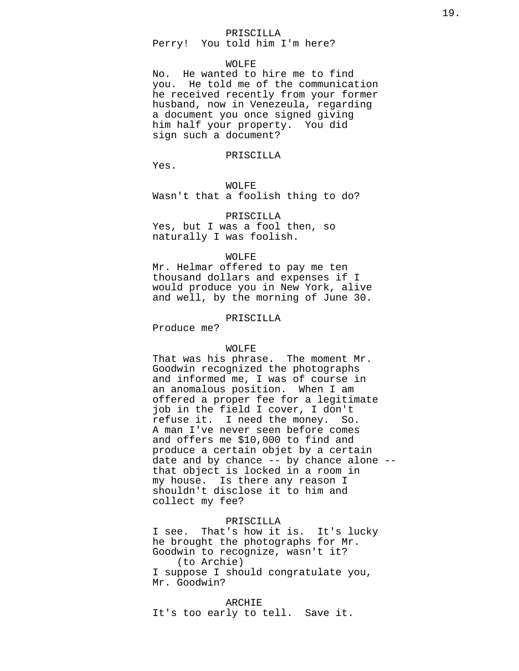#### PRISCILLA

Perry! You told him I'm here?

## WOLFE

No. He wanted to hire me to find you. He told me of the communication he received recently from your former husband, now in Venezeula, regarding a document you once signed giving him half your property. You did sign such a document?

#### PRISCILLA

Yes.

## WOLFE

Wasn't that a foolish thing to do?

#### PRISCILLA

Yes, but I was a fool then, so naturally I was foolish.

## WOLFE

Mr. Helmar offered to pay me ten thousand dollars and expenses if I would produce you in New York, alive and well, by the morning of June 30.

#### PRISCILLA

Produce me?

## WOLFE

That was his phrase. The moment Mr. Goodwin recognized the photographs and informed me, I was of course in an anomalous position. When I am offered a proper fee for a legitimate job in the field I cover, I don't refuse it. I need the money. So. A man I've never seen before comes and offers me \$10,000 to find and produce a certain objet by a certain date and by chance -- by chance alone - that object is locked in a room in my house. Is there any reason I shouldn't disclose it to him and collect my fee?

## PRISCILLA

I see. That's how it is. It's lucky he brought the photographs for Mr. Goodwin to recognize, wasn't it? (to Archie) I suppose I should congratulate you, Mr. Goodwin?

#### ARCHIE

It's too early to tell. Save it.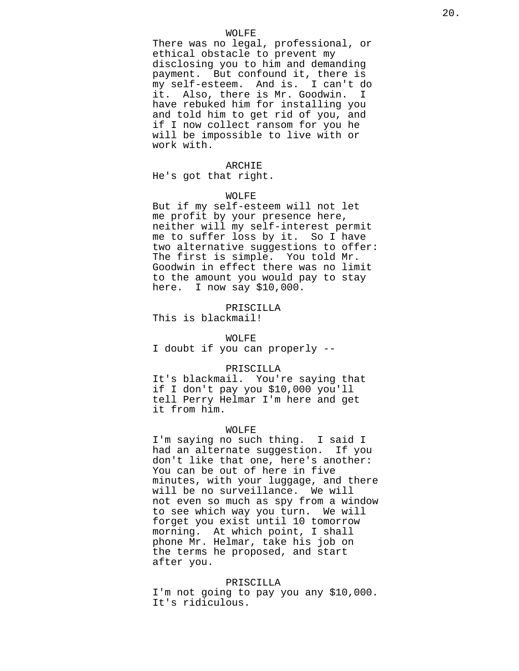## WOLFE

There was no legal, professional, or ethical obstacle to prevent my disclosing you to him and demanding payment. But confound it, there is my self-esteem. And is. I can't do it. Also, there is Mr. Goodwin. I have rebuked him for installing you and told him to get rid of you, and if I now collect ransom for you he will be impossible to live with or work with.

#### ARCHIE

He's got that right.

#### WOLFE

But if my self-esteem will not let me profit by your presence here, neither will my self-interest permit me to suffer loss by it. So I have two alternative suggestions to offer: The first is simple. You told Mr. Goodwin in effect there was no limit to the amount you would pay to stay here. I now say \$10,000.

PRISCILLA This is blackmail!

#### WOLFE

I doubt if you can properly --

#### PRISCILLA

It's blackmail. You're saying that if I don't pay you \$10,000 you'll tell Perry Helmar I'm here and get it from him.

#### WOLFE

I'm saying no such thing. I said I had an alternate suggestion. If you don't like that one, here's another: You can be out of here in five minutes, with your luggage, and there will be no surveillance. We will not even so much as spy from a window to see which way you turn. We will forget you exist until 10 tomorrow morning. At which point, I shall phone Mr. Helmar, take his job on the terms he proposed, and start after you.

#### PRISCILLA

I'm not going to pay you any \$10,000. It's ridiculous.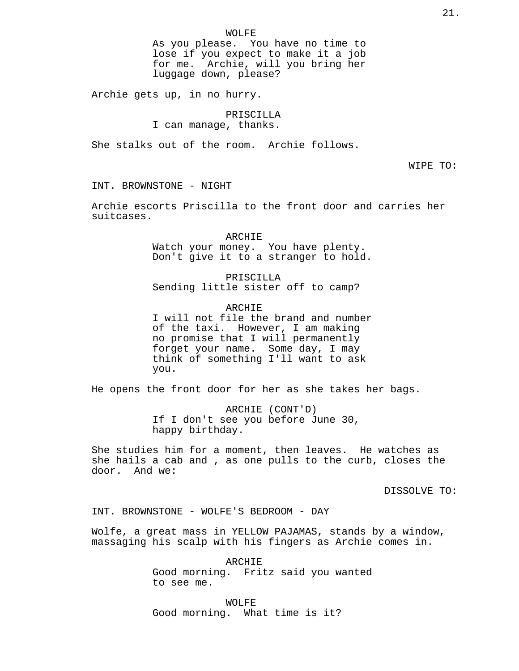As you please. You have no time to lose if you expect to make it a job for me. Archie, will you bring her luggage down, please?

Archie gets up, in no hurry.

## PRISCILLA

I can manage, thanks.

She stalks out of the room. Archie follows.

WIPE TO:

INT. BROWNSTONE - NIGHT

Archie escorts Priscilla to the front door and carries her suitcases.

> ARCHIE Watch your money. You have plenty. Don't give it to a stranger to hold.

PRISCILLA Sending little sister off to camp?

ARCHIE I will not file the brand and number of the taxi. However, I am making no promise that I will permanently forget your name. Some day, I may think of something I'll want to ask you.

He opens the front door for her as she takes her bags.

ARCHIE (CONT'D) If I don't see you before June 30, happy birthday.

She studies him for a moment, then leaves. He watches as she hails a cab and , as one pulls to the curb, closes the door. And we:

DISSOLVE TO:

INT. BROWNSTONE - WOLFE'S BEDROOM - DAY

Wolfe, a great mass in YELLOW PAJAMAS, stands by a window, massaging his scalp with his fingers as Archie comes in.

> ARCHIE Good morning. Fritz said you wanted to see me.

WOLFE Good morning. What time is it?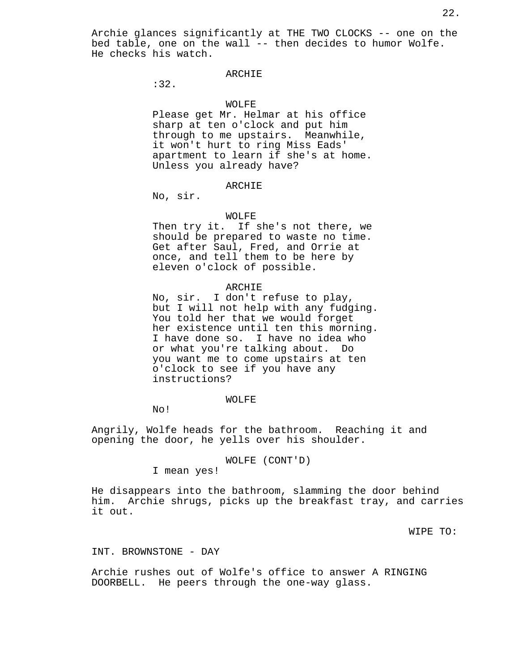Archie glances significantly at THE TWO CLOCKS -- one on the bed table, one on the wall -- then decides to humor Wolfe. He checks his watch.

## ARCHIE

:32.

## WOLFE

Please get Mr. Helmar at his office sharp at ten o'clock and put him through to me upstairs. Meanwhile, it won't hurt to ring Miss Eads' apartment to learn if she's at home. Unless you already have?

## ARCHIE

No, sir.

#### WOLFE

Then try it. If she's not there, we should be prepared to waste no time. Get after Saul, Fred, and Orrie at once, and tell them to be here by eleven o'clock of possible.

## ARCHIE

No, sir. I don't refuse to play, but I will not help with any fudging. You told her that we would forget her existence until ten this morning. I have done so. I have no idea who or what you're talking about. Do you want me to come upstairs at ten o'clock to see if you have any instructions?

#### WOLFE

No!

Angrily, Wolfe heads for the bathroom. Reaching it and opening the door, he yells over his shoulder.

WOLFE (CONT'D)

I mean yes!

He disappears into the bathroom, slamming the door behind him. Archie shrugs, picks up the breakfast tray, and carries it out.

WIPE TO:

## INT. BROWNSTONE - DAY

Archie rushes out of Wolfe's office to answer A RINGING DOORBELL. He peers through the one-way glass.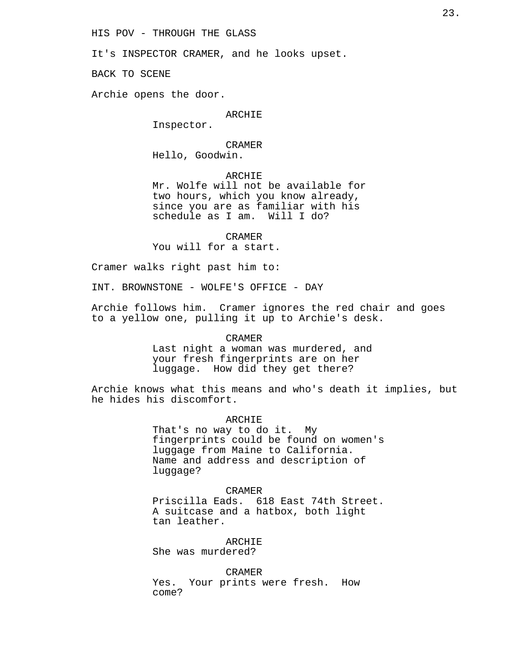HIS POV - THROUGH THE GLASS

It's INSPECTOR CRAMER, and he looks upset.

BACK TO SCENE

Archie opens the door.

## ARCHIE

Inspector.

## CRAMER Hello, Goodwin.

ARCHIE

Mr. Wolfe will not be available for two hours, which you know already, since you are as familiar with his schedule as I am. Will I do?

CRAMER You will for a start.

Cramer walks right past him to:

INT. BROWNSTONE - WOLFE'S OFFICE - DAY

Archie follows him. Cramer ignores the red chair and goes to a yellow one, pulling it up to Archie's desk.

CRAMER

Last night a woman was murdered, and your fresh fingerprints are on her luggage. How did they get there?

Archie knows what this means and who's death it implies, but he hides his discomfort.

ARCHIE

That's no way to do it. My fingerprints could be found on women's luggage from Maine to California. Name and address and description of luggage?

CRAMER Priscilla Eads. 618 East 74th Street. A suitcase and a hatbox, both light tan leather.

ARCHIE She was murdered?

CRAMER Yes. Your prints were fresh. How come?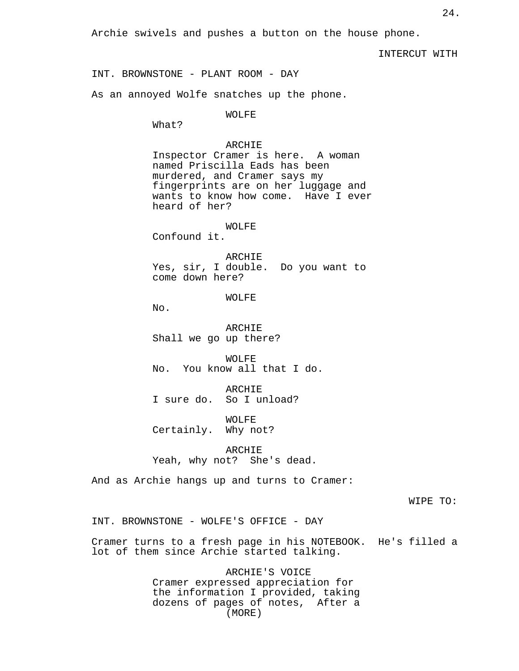Archie swivels and pushes a button on the house phone.

INTERCUT WITH

INT. BROWNSTONE - PLANT ROOM - DAY

As an annoyed Wolfe snatches up the phone.

WOLFE

What?

### ARCHIE

Inspector Cramer is here. A woman named Priscilla Eads has been murdered, and Cramer says my fingerprints are on her luggage and wants to know how come. Have I ever heard of her?

## WOLFE

Confound it.

ARCHIE Yes, sir, I double. Do you want to come down here?

## WOLFE

No.

ARCHIE Shall we go up there?

WOLFE No. You know all that I do.

ARCHIE I sure do. So I unload?

WOLFE Certainly. Why not?

ARCHIE Yeah, why not? She's dead.

And as Archie hangs up and turns to Cramer:

WIPE TO:

INT. BROWNSTONE - WOLFE'S OFFICE - DAY

Cramer turns to a fresh page in his NOTEBOOK. He's filled a lot of them since Archie started talking.

> ARCHIE'S VOICE Cramer expressed appreciation for the information I provided, taking dozens of pages of notes, After a (MORE)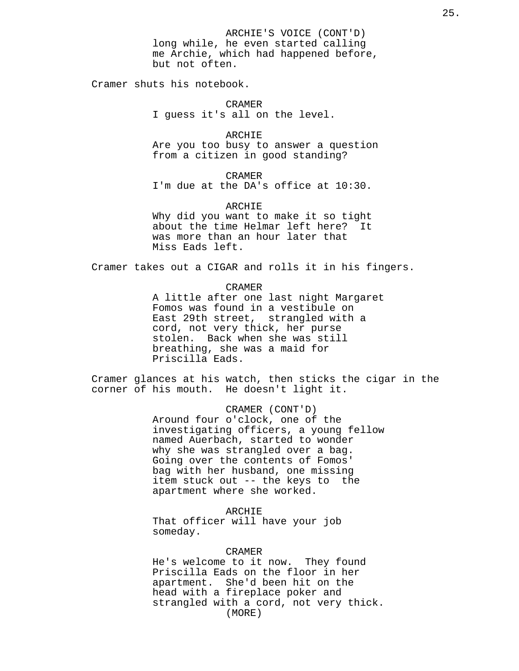ARCHIE'S VOICE (CONT'D) long while, he even started calling me Archie, which had happened before, but not often.

Cramer shuts his notebook.

CRAMER I guess it's all on the level.

ARCHIE Are you too busy to answer a question from a citizen in good standing?

CRAMER I'm due at the DA's office at 10:30.

ARCHIE Why did you want to make it so tight about the time Helmar left here? It was more than an hour later that Miss Eads left.

Cramer takes out a CIGAR and rolls it in his fingers.

CRAMER A little after one last night Margaret Fomos was found in a vestibule on East 29th street, strangled with a cord, not very thick, her purse stolen. Back when she was still breathing, she was a maid for Priscilla Eads.

Cramer glances at his watch, then sticks the cigar in the corner of his mouth. He doesn't light it.

> CRAMER (CONT'D) Around four o'clock, one of the investigating officers, a young fellow named Auerbach, started to wonder why she was strangled over a bag. Going over the contents of Fomos' bag with her husband, one missing item stuck out -- the keys to the apartment where she worked.

ARCHIE That officer will have your job someday.

CRAMER

He's welcome to it now. They found Priscilla Eads on the floor in her apartment. She'd been hit on the head with a fireplace poker and strangled with a cord, not very thick. (MORE)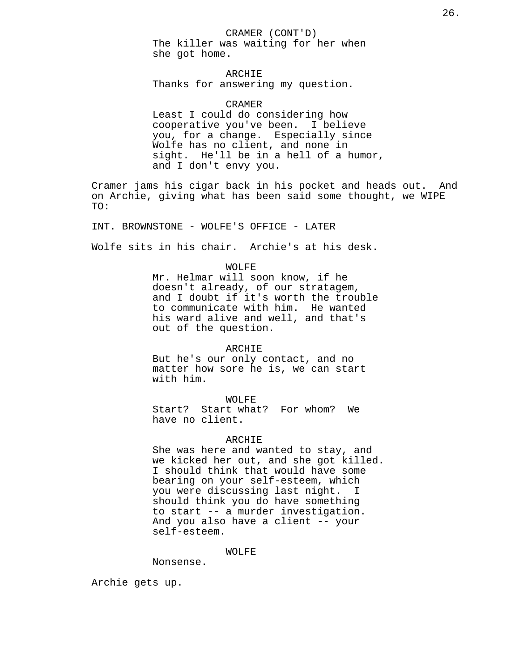CRAMER (CONT'D) The killer was waiting for her when she got home.

ARCHIE Thanks for answering my question.

CRAMER Least I could do considering how cooperative you've been. I believe you, for a change. Especially since Wolfe has no client, and none in sight. He'll be in a hell of a humor, and I don't envy you.

Cramer jams his cigar back in his pocket and heads out. And on Archie, giving what has been said some thought, we WIPE TO:

INT. BROWNSTONE - WOLFE'S OFFICE - LATER

Wolfe sits in his chair. Archie's at his desk.

WOLFE

Mr. Helmar will soon know, if he doesn't already, of our stratagem, and I doubt if it's worth the trouble to communicate with him. He wanted his ward alive and well, and that's out of the question.

## ARCHIE

But he's our only contact, and no matter how sore he is, we can start with him.

#### WOLFE

Start? Start what? For whom? We have no client.

#### ARCHIE

She was here and wanted to stay, and we kicked her out, and she got killed. I should think that would have some bearing on your self-esteem, which you were discussing last night. I should think you do have something to start -- a murder investigation. And you also have a client -- your self-esteem.

#### WOLFE

Nonsense.

Archie gets up.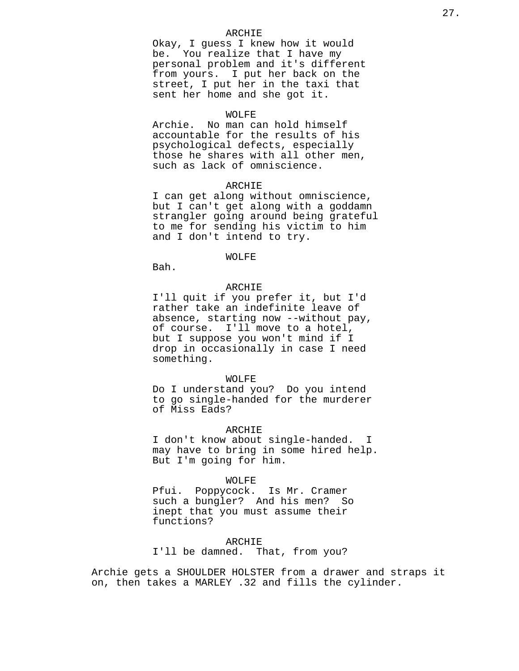## ARCHIE

Okay, I guess I knew how it would be. You realize that I have my personal problem and it's different from yours. I put her back on the street, I put her in the taxi that sent her home and she got it.

#### WOLFE

Archie. No man can hold himself accountable for the results of his psychological defects, especially those he shares with all other men, such as lack of omniscience.

## ARCHIE

I can get along without omniscience, but I can't get along with a goddamn strangler going around being grateful to me for sending his victim to him and I don't intend to try.

## WOLFE

Bah.

#### ARCHIE

I'll quit if you prefer it, but I'd rather take an indefinite leave of absence, starting now --without pay, of course. I'll move to a hotel, but I suppose you won't mind if I drop in occasionally in case I need something.

#### WOLFE

Do I understand you? Do you intend to go single-handed for the murderer of Miss Eads?

## ARCHIE

I don't know about single-handed. I may have to bring in some hired help. But I'm going for him.

#### WOLFE

Pfui. Poppycock. Is Mr. Cramer such a bungler? And his men? So inept that you must assume their functions?

ARCHIE I'll be damned. That, from you?

Archie gets a SHOULDER HOLSTER from a drawer and straps it on, then takes a MARLEY .32 and fills the cylinder.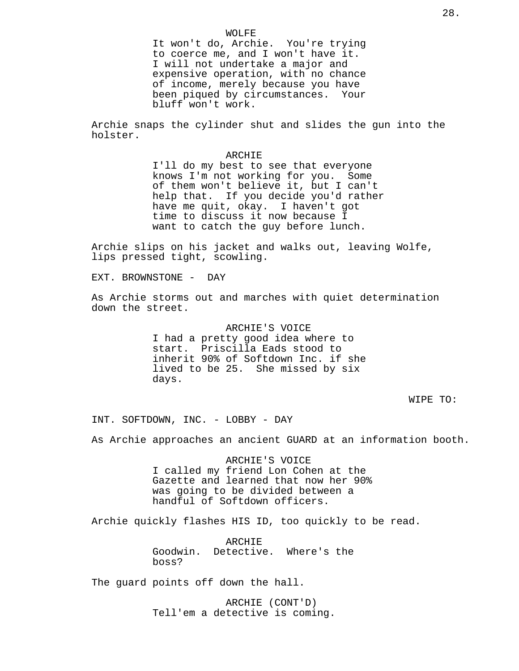WOLFE It won't do, Archie. You're trying to coerce me, and I won't have it. I will not undertake a major and expensive operation, with no chance of income, merely because you have been piqued by circumstances. Your bluff won't work.

Archie snaps the cylinder shut and slides the gun into the holster.

#### ARCHIE

I'll do my best to see that everyone knows I'm not working for you. Some of them won't believe it, but I can't help that. If you decide you'd rather have me quit, okay. I haven't got time to discuss it now because I want to catch the guy before lunch.

Archie slips on his jacket and walks out, leaving Wolfe, lips pressed tight, scowling.

EXT. BROWNSTONE - DAY

As Archie storms out and marches with quiet determination down the street.

> ARCHIE'S VOICE I had a pretty good idea where to start. Priscilla Eads stood to inherit 90% of Softdown Inc. if she lived to be 25. She missed by six days.

> > WIPE TO:

INT. SOFTDOWN, INC. - LOBBY - DAY

As Archie approaches an ancient GUARD at an information booth.

ARCHIE'S VOICE I called my friend Lon Cohen at the Gazette and learned that now her 90% was going to be divided between a handful of Softdown officers.

Archie quickly flashes HIS ID, too quickly to be read.

ARCHIE Goodwin. Detective. Where's the boss?

The guard points off down the hall.

ARCHIE (CONT'D) Tell'em a detective is coming.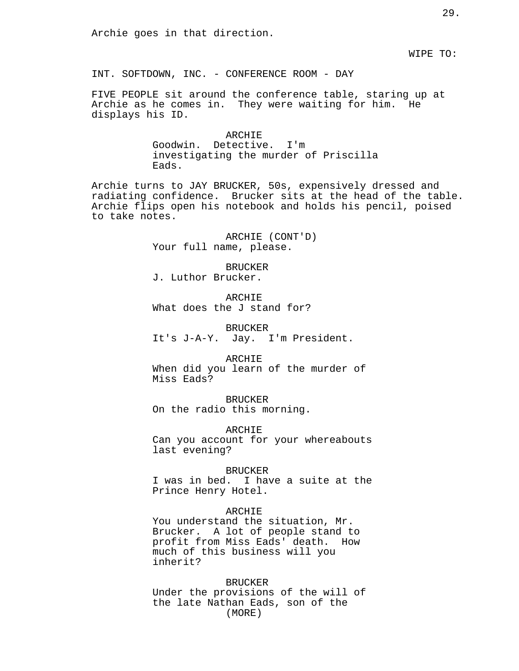Archie goes in that direction.

WIPE TO:

INT. SOFTDOWN, INC. - CONFERENCE ROOM - DAY

FIVE PEOPLE sit around the conference table, staring up at Archie as he comes in. They were waiting for him. He displays his ID.

> ARCHIE Goodwin. Detective. I'm investigating the murder of Priscilla Eads.

Archie turns to JAY BRUCKER, 50s, expensively dressed and radiating confidence. Brucker sits at the head of the table. Archie flips open his notebook and holds his pencil, poised to take notes.

> ARCHIE (CONT'D) Your full name, please.

> > BRUCKER

J. Luthor Brucker.

ARCHIE What does the J stand for?

BRUCKER It's J-A-Y. Jay. I'm President.

ARCHIE When did you learn of the murder of Miss Eads?

BRUCKER On the radio this morning.

ARCHIE Can you account for your whereabouts last evening?

BRUCKER I was in bed. I have a suite at the Prince Henry Hotel.

ARCHIE

You understand the situation, Mr. Brucker. A lot of people stand to profit from Miss Eads' death. How much of this business will you inherit?

BRUCKER Under the provisions of the will of the late Nathan Eads, son of the (MORE)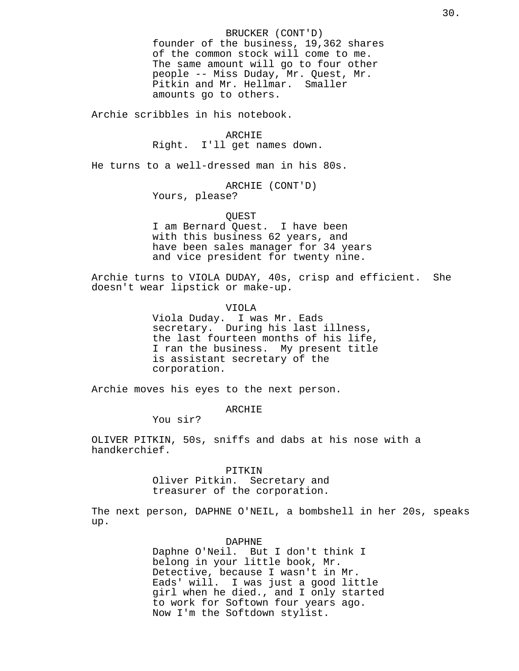BRUCKER (CONT'D) founder of the business, 19,362 shares of the common stock will come to me. The same amount will go to four other people -- Miss Duday, Mr. Quest, Mr. Pitkin and Mr. Hellmar. Smaller amounts go to others.

Archie scribbles in his notebook.

#### ARCHIE

Right. I'll get names down.

He turns to a well-dressed man in his 80s.

ARCHIE (CONT'D) Yours, please?

# QUEST

I am Bernard Quest. I have been with this business 62 years, and have been sales manager for 34 years and vice president for twenty nine.

Archie turns to VIOLA DUDAY, 40s, crisp and efficient. She doesn't wear lipstick or make-up.

VIOLA

Viola Duday. I was Mr. Eads secretary. During his last illness, the last fourteen months of his life, I ran the business. My present title is assistant secretary of the corporation.

Archie moves his eyes to the next person.

ARCHIE

You sir?

OLIVER PITKIN, 50s, sniffs and dabs at his nose with a handkerchief.

#### PITKIN

Oliver Pitkin. Secretary and treasurer of the corporation.

The next person, DAPHNE O'NEIL, a bombshell in her 20s, speaks up.

#### DAPHNE

Daphne O'Neil. But I don't think I belong in your little book, Mr. Detective, because I wasn't in Mr. Eads' will. I was just a good little girl when he died., and I only started to work for Softown four years ago. Now I'm the Softdown stylist.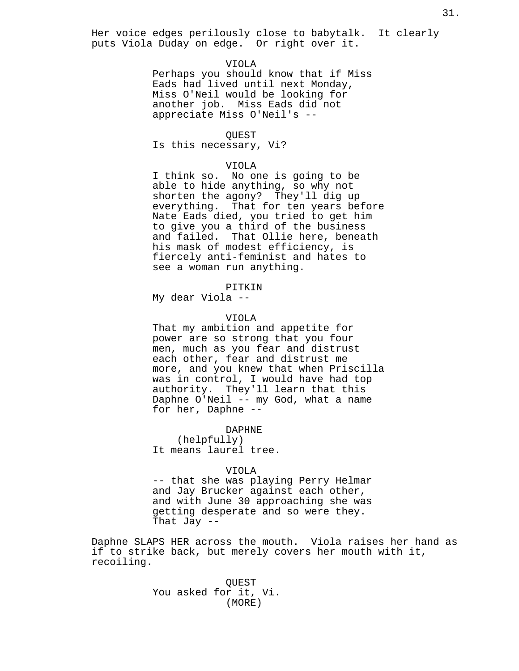Her voice edges perilously close to babytalk. It clearly puts Viola Duday on edge. Or right over it.

## VIOLA

Perhaps you should know that if Miss Eads had lived until next Monday, Miss O'Neil would be looking for another job. Miss Eads did not appreciate Miss O'Neil's --

#### QUEST

Is this necessary, Vi?

## VIOLA

I think so. No one is going to be able to hide anything, so why not shorten the agony? They'll dig up everything. That for ten years before Nate Eads died, you tried to get him to give you a third of the business and failed. That Ollie here, beneath his mask of modest efficiency, is fiercely anti-feminist and hates to see a woman run anything.

## PITKIN

My dear Viola --

#### VIOLA

That my ambition and appetite for power are so strong that you four men, much as you fear and distrust each other, fear and distrust me more, and you knew that when Priscilla was in control, I would have had top authority. They'll learn that this Daphne O'Neil -- my God, what a name for her, Daphne --

#### DAPHNE

(helpfully) It means laurel tree.

#### VIOLA

-- that she was playing Perry Helmar and Jay Brucker against each other, and with June 30 approaching she was getting desperate and so were they. That Jay --

Daphne SLAPS HER across the mouth. Viola raises her hand as if to strike back, but merely covers her mouth with it, recoiling.

> QUEST You asked for it, Vi. (MORE)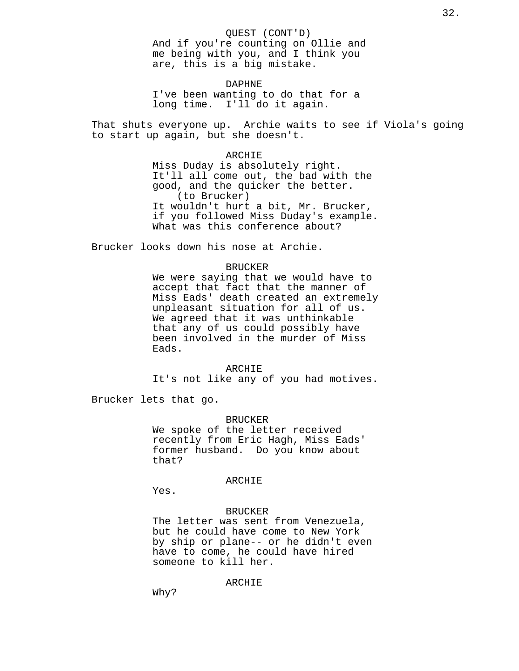#### QUEST (CONT'D)

And if you're counting on Ollie and me being with you, and I think you are, this is a big mistake.

DAPHNE I've been wanting to do that for a long time. I'll do it again.

That shuts everyone up. Archie waits to see if Viola's going to start up again, but she doesn't.

#### ARCHIE

Miss Duday is absolutely right. It'll all come out, the bad with the good, and the quicker the better. (to Brucker) It wouldn't hurt a bit, Mr. Brucker, if you followed Miss Duday's example. What was this conference about?

Brucker looks down his nose at Archie.

#### BRUCKER

We were saying that we would have to accept that fact that the manner of Miss Eads' death created an extremely unpleasant situation for all of us. We agreed that it was unthinkable that any of us could possibly have been involved in the murder of Miss Eads.

ARCHIE It's not like any of you had motives.

Brucker lets that go.

## BRUCKER

We spoke of the letter received recently from Eric Hagh, Miss Eads' former husband. Do you know about that?

## ARCHIE

Yes.

## BRUCKER

The letter was sent from Venezuela, but he could have come to New York by ship or plane-- or he didn't even have to come, he could have hired someone to kill her.

## ARCHIE

Why?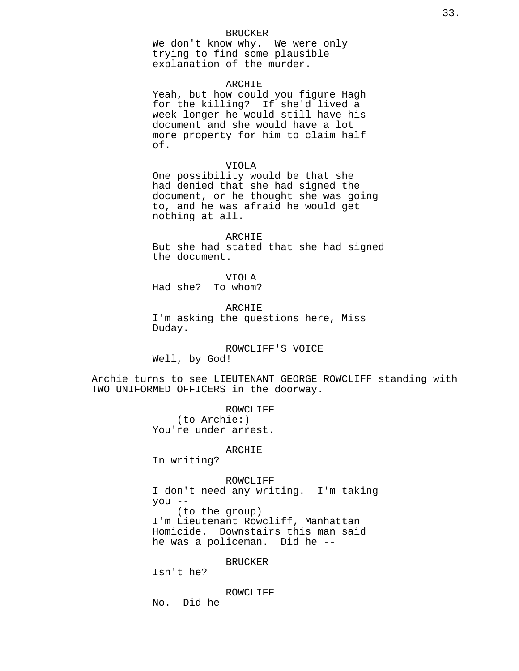#### BRUCKER

We don't know why. We were only trying to find some plausible explanation of the murder.

#### ARCHIE

Yeah, but how could you figure Hagh for the killing? If she'd lived a week longer he would still have his document and she would have a lot more property for him to claim half of.

#### VIOLA

One possibility would be that she had denied that she had signed the document, or he thought she was going to, and he was afraid he would get nothing at all.

## ARCHIE

But she had stated that she had signed the document.

VIOLA Had she? To whom?

ARCHIE I'm asking the questions here, Miss Duday.

## ROWCLIFF'S VOICE Well, by God!

Archie turns to see LIEUTENANT GEORGE ROWCLIFF standing with TWO UNIFORMED OFFICERS in the doorway.

> ROWCLIFF (to Archie:) You're under arrest.

#### ARCHIE

In writing?

## ROWCLIFF I don't need any writing. I'm taking you -- (to the group) I'm Lieutenant Rowcliff, Manhattan Homicide. Downstairs this man said he was a policeman. Did he --

## BRUCKER

Isn't he?

ROWCLIFF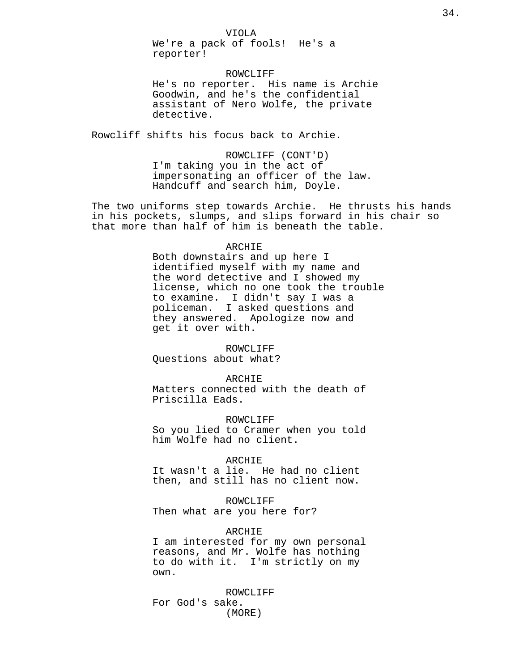We're a pack of fools! He's a reporter!

ROWCLIFF He's no reporter. His name is Archie Goodwin, and he's the confidential assistant of Nero Wolfe, the private detective.

Rowcliff shifts his focus back to Archie.

ROWCLIFF (CONT'D) I'm taking you in the act of impersonating an officer of the law. Handcuff and search him, Doyle.

The two uniforms step towards Archie. He thrusts his hands in his pockets, slumps, and slips forward in his chair so that more than half of him is beneath the table.

## ARCHIE

Both downstairs and up here I identified myself with my name and the word detective and I showed my license, which no one took the trouble to examine. I didn't say I was a policeman. I asked questions and they answered. Apologize now and get it over with.

## ROWCLIFF

Questions about what?

#### ARCHIE

Matters connected with the death of Priscilla Eads.

## ROWCLIFF

So you lied to Cramer when you told him Wolfe had no client.

#### ARCHIE

It wasn't a lie. He had no client then, and still has no client now.

#### ROWCLIFF

Then what are you here for?

## ARCHIE

I am interested for my own personal reasons, and Mr. Wolfe has nothing to do with it. I'm strictly on my own.

ROWCLIFF For God's sake. (MORE)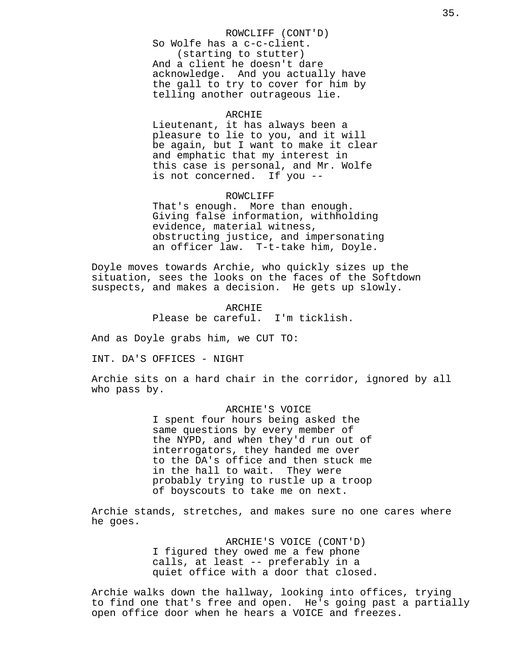## ROWCLIFF (CONT'D)

So Wolfe has a c-c-client. (starting to stutter) And a client he doesn't dare acknowledge. And you actually have the gall to try to cover for him by telling another outrageous lie.

#### ARCHIE

Lieutenant, it has always been a pleasure to lie to you, and it will be again, but I want to make it clear and emphatic that my interest in this case is personal, and Mr. Wolfe is not concerned. If you --

#### ROWCLIFF

That's enough. More than enough. Giving false information, withholding evidence, material witness, obstructing justice, and impersonating an officer law. T-t-take him, Doyle.

Doyle moves towards Archie, who quickly sizes up the situation, sees the looks on the faces of the Softdown suspects, and makes a decision. He gets up slowly.

> ARCHIE Please be careful. I'm ticklish.

And as Doyle grabs him, we CUT TO:

INT. DA'S OFFICES - NIGHT

Archie sits on a hard chair in the corridor, ignored by all who pass by.

> ARCHIE'S VOICE I spent four hours being asked the same questions by every member of the NYPD, and when they'd run out of interrogators, they handed me over to the DA's office and then stuck me in the hall to wait. They were probably trying to rustle up a troop of boyscouts to take me on next.

Archie stands, stretches, and makes sure no one cares where he goes.

> ARCHIE'S VOICE (CONT'D) I figured they owed me a few phone calls, at least -- preferably in a quiet office with a door that closed.

Archie walks down the hallway, looking into offices, trying to find one that's free and open. He's going past a partially open office door when he hears a VOICE and freezes.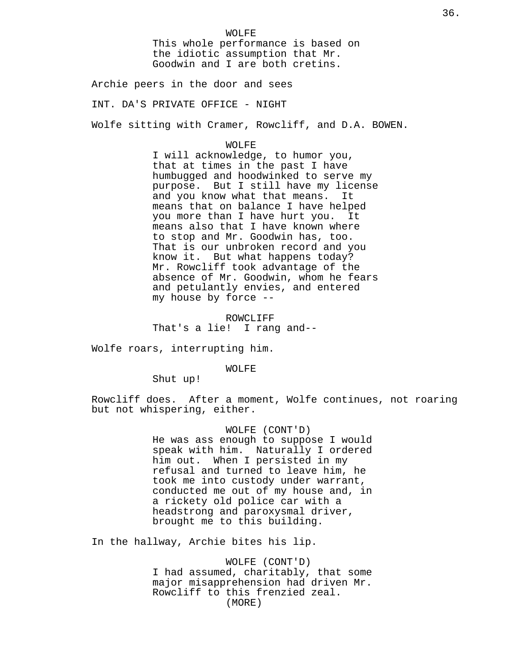Archie peers in the door and sees

INT. DA'S PRIVATE OFFICE - NIGHT

Wolfe sitting with Cramer, Rowcliff, and D.A. BOWEN.

## WOLFE

I will acknowledge, to humor you, that at times in the past I have humbugged and hoodwinked to serve my purpose. But I still have my license and you know what that means. It means that on balance I have helped you more than I have hurt you. It means also that I have known where to stop and Mr. Goodwin has, too. That is our unbroken record and you know it. But what happens today? Mr. Rowcliff took advantage of the absence of Mr. Goodwin, whom he fears and petulantly envies, and entered my house by force --

ROWCLIFF That's a lie! I rang and--

Wolfe roars, interrupting him.

## WOLFE

Shut up!

Rowcliff does. After a moment, Wolfe continues, not roaring but not whispering, either.

> WOLFE (CONT'D) He was ass enough to suppose I would speak with him. Naturally I ordered him out. When I persisted in my refusal and turned to leave him, he took me into custody under warrant, conducted me out of my house and, in a rickety old police car with a headstrong and paroxysmal driver, brought me to this building.

In the hallway, Archie bites his lip.

WOLFE (CONT'D) I had assumed, charitably, that some major misapprehension had driven Mr. Rowcliff to this frenzied zeal. (MORE)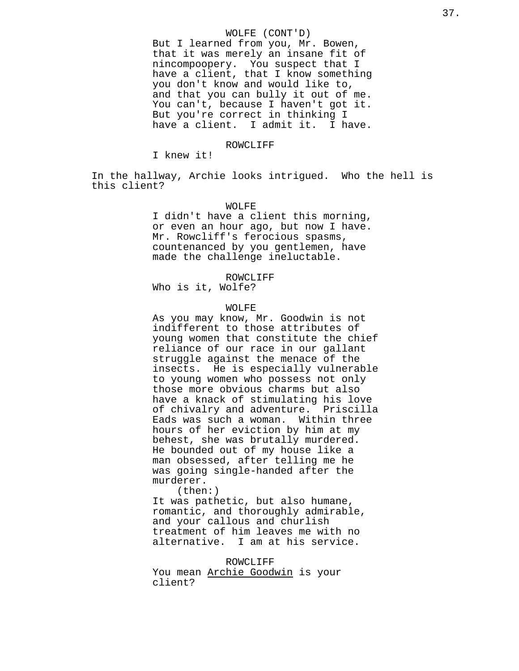# WOLFE (CONT'D)

But I learned from you, Mr. Bowen, that it was merely an insane fit of nincompoopery. You suspect that I have a client, that I know something you don't know and would like to, and that you can bully it out of me. You can't, because I haven't got it. But you're correct in thinking I have a client. I admit it. I have.

# ROWCLIFF

I knew it!

In the hallway, Archie looks intrigued. Who the hell is this client?

# WOLFE

I didn't have a client this morning, or even an hour ago, but now I have. Mr. Rowcliff's ferocious spasms, countenanced by you gentlemen, have made the challenge ineluctable.

ROWCLIFF

Who is it, Wolfe?

#### WOLFE

As you may know, Mr. Goodwin is not indifferent to those attributes of young women that constitute the chief reliance of our race in our gallant struggle against the menace of the insects. He is especially vulnerable to young women who possess not only those more obvious charms but also have a knack of stimulating his love of chivalry and adventure. Priscilla Eads was such a woman. Within three hours of her eviction by him at my behest, she was brutally murdered. He bounded out of my house like a man obsessed, after telling me he was going single-handed after the murderer.

(then:)

It was pathetic, but also humane, romantic, and thoroughly admirable, and your callous and churlish treatment of him leaves me with no alternative. I am at his service.

ROWCLIFF You mean Archie Goodwin is your client?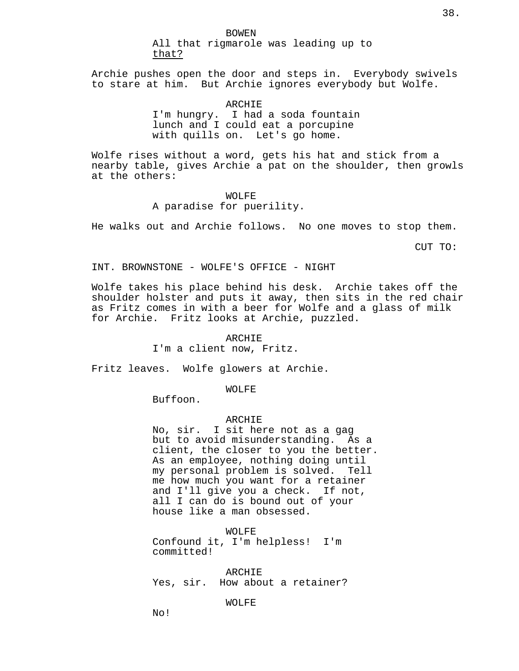BOWEN All that rigmarole was leading up to that?

Archie pushes open the door and steps in. Everybody swivels to stare at him. But Archie ignores everybody but Wolfe.

> ARCHIE I'm hungry. I had a soda fountain lunch and I could eat a porcupine with quills on. Let's go home.

Wolfe rises without a word, gets his hat and stick from a nearby table, gives Archie a pat on the shoulder, then growls at the others:

> WOLFE A paradise for puerility.

He walks out and Archie follows. No one moves to stop them.

CUT TO:

INT. BROWNSTONE - WOLFE'S OFFICE - NIGHT

Wolfe takes his place behind his desk. Archie takes off the shoulder holster and puts it away, then sits in the red chair as Fritz comes in with a beer for Wolfe and a glass of milk for Archie. Fritz looks at Archie, puzzled.

ARCHIE

I'm a client now, Fritz.

Fritz leaves. Wolfe glowers at Archie.

WOLFE

Buffoon.

# ARCHIE

No, sir. I sit here not as a gag but to avoid misunderstanding. As a client, the closer to you the better. As an employee, nothing doing until my personal problem is solved. Tell me how much you want for a retainer and I'll give you a check. If not, all I can do is bound out of your house like a man obsessed.

WOLFE Confound it, I'm helpless! I'm committed!

ARCHIE Yes, sir. How about a retainer?

# WOLFE

No!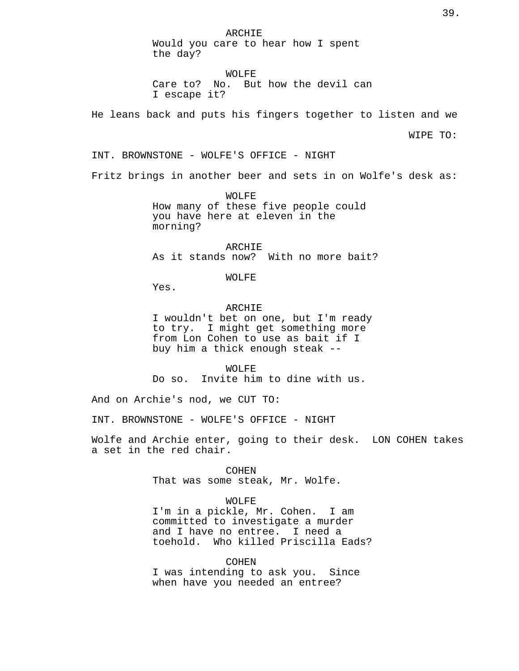ARCHIE Would you care to hear how I spent the day?

WOLFE Care to? No. But how the devil can I escape it?

He leans back and puts his fingers together to listen and we

WIPE TO:

INT. BROWNSTONE - WOLFE'S OFFICE - NIGHT

Fritz brings in another beer and sets in on Wolfe's desk as:

WOLFE How many of these five people could you have here at eleven in the morning?

ARCHIE As it stands now? With no more bait?

WOLFE

Yes.

ARCHIE

I wouldn't bet on one, but I'm ready to try. I might get something more from Lon Cohen to use as bait if I buy him a thick enough steak --

WOLFE Do so. Invite him to dine with us.

And on Archie's nod, we CUT TO:

INT. BROWNSTONE - WOLFE'S OFFICE - NIGHT

Wolfe and Archie enter, going to their desk. LON COHEN takes a set in the red chair.

> COHEN That was some steak, Mr. Wolfe.

### WOLFE

I'm in a pickle, Mr. Cohen. I am committed to investigate a murder and I have no entree. I need a toehold. Who killed Priscilla Eads?

COHEN I was intending to ask you. Since when have you needed an entree?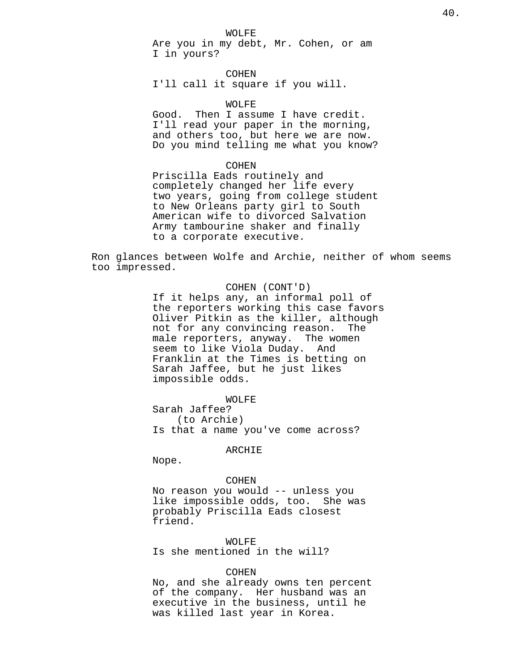### WOLFE

Are you in my debt, Mr. Cohen, or am I in yours?

COHEN I'll call it square if you will.

#### WOLFE

Good. Then I assume I have credit. I'll read your paper in the morning, and others too, but here we are now. Do you mind telling me what you know?

#### COHEN

Priscilla Eads routinely and completely changed her life every two years, going from college student to New Orleans party girl to South American wife to divorced Salvation Army tambourine shaker and finally to a corporate executive.

Ron glances between Wolfe and Archie, neither of whom seems too impressed.

# COHEN (CONT'D) If it helps any, an informal poll of the reporters working this case favors Oliver Pitkin as the killer, although not for any convincing reason. The male reporters, anyway. The women seem to like Viola Duday. And Franklin at the Times is betting on Sarah Jaffee, but he just likes impossible odds.

WOLFE

Sarah Jaffee? (to Archie) Is that a name you've come across?

ARCHIE

Nope.

### COHEN

No reason you would -- unless you like impossible odds, too. She was probably Priscilla Eads closest friend.

### WOLFE

Is she mentioned in the will?

## COHEN

No, and she already owns ten percent of the company. Her husband was an executive in the business, until he was killed last year in Korea.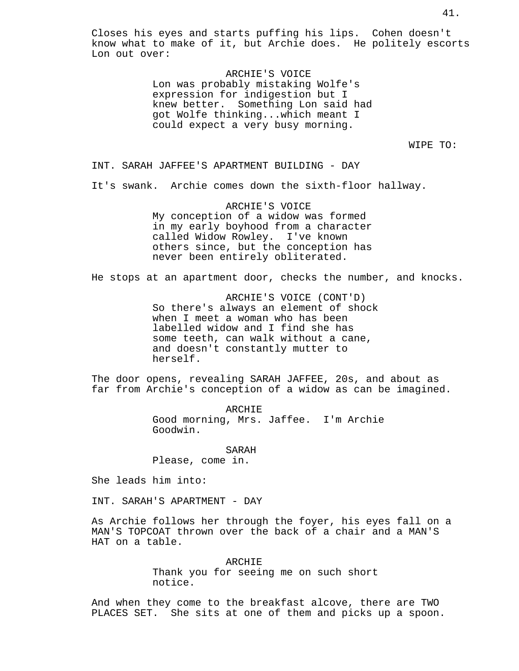Closes his eyes and starts puffing his lips. Cohen doesn't know what to make of it, but Archie does. He politely escorts Lon out over:

> ARCHIE'S VOICE Lon was probably mistaking Wolfe's expression for indigestion but I knew better. Something Lon said had got Wolfe thinking...which meant I could expect a very busy morning.

> > WIPE TO:

INT. SARAH JAFFEE'S APARTMENT BUILDING - DAY

It's swank. Archie comes down the sixth-floor hallway.

ARCHIE'S VOICE My conception of a widow was formed in my early boyhood from a character called Widow Rowley. I've known others since, but the conception has never been entirely obliterated.

He stops at an apartment door, checks the number, and knocks.

ARCHIE'S VOICE (CONT'D) So there's always an element of shock when I meet a woman who has been labelled widow and I find she has some teeth, can walk without a cane, and doesn't constantly mutter to herself.

The door opens, revealing SARAH JAFFEE, 20s, and about as far from Archie's conception of a widow as can be imagined.

> ARCHIE Good morning, Mrs. Jaffee. I'm Archie Goodwin.

SARAH Please, come in.

She leads him into:

INT. SARAH'S APARTMENT - DAY

As Archie follows her through the foyer, his eyes fall on a MAN'S TOPCOAT thrown over the back of a chair and a MAN'S HAT on a table.

> ARCHIE Thank you for seeing me on such short notice.

And when they come to the breakfast alcove, there are TWO PLACES SET. She sits at one of them and picks up a spoon.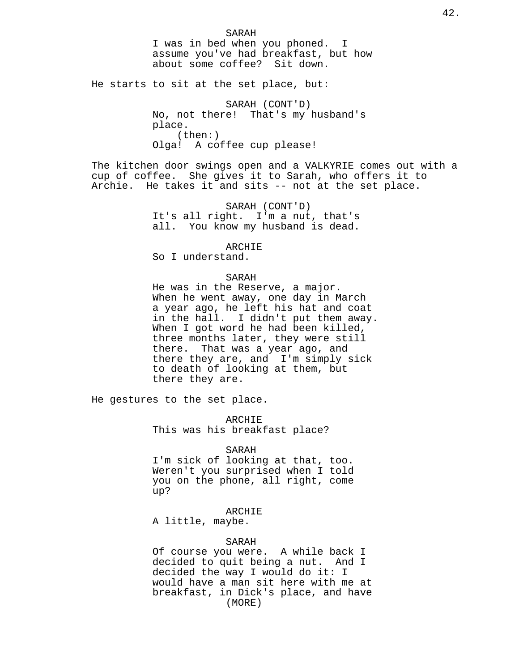He starts to sit at the set place, but:

SARAH (CONT'D) No, not there! That's my husband's place. (then:) Olga! A coffee cup please!

The kitchen door swings open and a VALKYRIE comes out with a cup of coffee. She gives it to Sarah, who offers it to Archie. He takes it and sits -- not at the set place.

> SARAH (CONT'D) It's all right. I'm a nut, that's all. You know my husband is dead.

> > ARCHIE

So I understand.

SARAH

He was in the Reserve, a major. When he went away, one day in March a year ago, he left his hat and coat in the hall. I didn't put them away. When I got word he had been killed, three months later, they were still there. That was a year ago, and there they are, and I'm simply sick to death of looking at them, but there they are.

He gestures to the set place.

ARCHIE This was his breakfast place?

## SARAH

I'm sick of looking at that, too. Weren't you surprised when I told you on the phone, all right, come up?

ARCHIE

A little, maybe.

# SARAH

Of course you were. A while back I decided to quit being a nut. And I decided the way I would do it: I would have a man sit here with me at breakfast, in Dick's place, and have (MORE)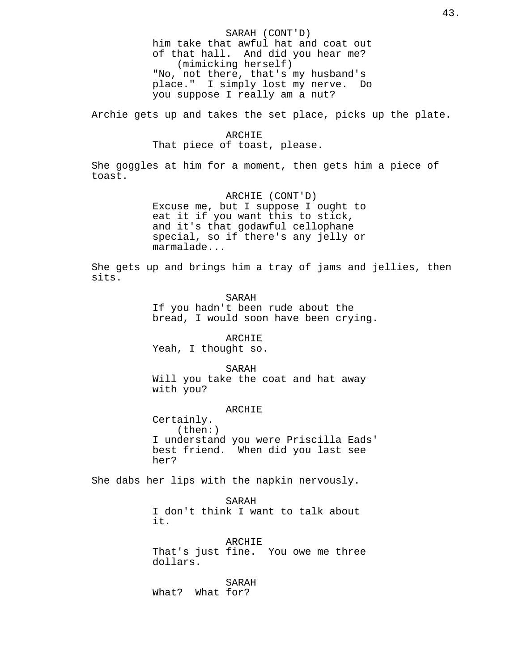SARAH (CONT'D) him take that awful hat and coat out of that hall. And did you hear me? (mimicking herself) "No, not there, that's my husband's place." I simply lost my nerve. Do you suppose I really am a nut?

Archie gets up and takes the set place, picks up the plate.

# ARCHIE That piece of toast, please.

She goggles at him for a moment, then gets him a piece of toast.

> ARCHIE (CONT'D) Excuse me, but I suppose I ought to eat it if you want this to stick, and it's that godawful cellophane special, so if there's any jelly or marmalade...

She gets up and brings him a tray of jams and jellies, then sits.

> SARAH If you hadn't been rude about the bread, I would soon have been crying.

ARCHIE Yeah, I thought so.

SARAH

Will you take the coat and hat away with you?

# ARCHIE

Certainly. (then:) I understand you were Priscilla Eads' best friend. When did you last see her?

She dabs her lips with the napkin nervously.

SARAH I don't think I want to talk about it.

ARCHIE That's just fine. You owe me three dollars.

SARAH What? What for?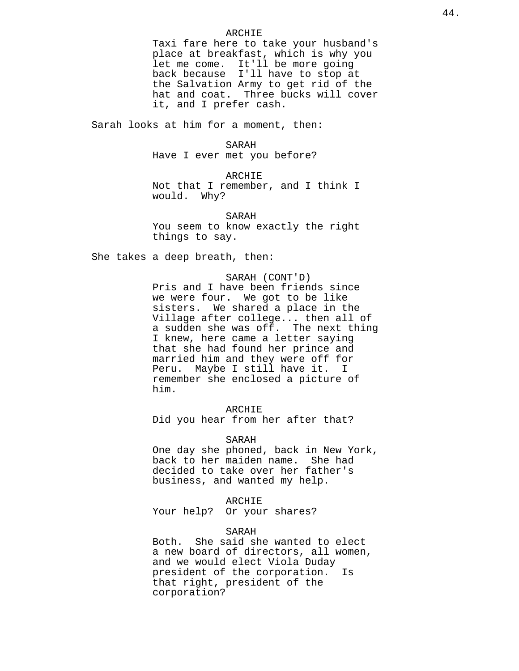## ARCHIE

Taxi fare here to take your husband's place at breakfast, which is why you let me come. It'll be more going back because I'll have to stop at the Salvation Army to get rid of the hat and coat. Three bucks will cover it, and I prefer cash.

Sarah looks at him for a moment, then:

## SARAH

Have I ever met you before?

# ARCHIE

Not that I remember, and I think I would. Why?

SARAH You seem to know exactly the right things to say.

She takes a deep breath, then:

# SARAH (CONT'D)

Pris and I have been friends since we were four. We got to be like sisters. We shared a place in the Village after college... then all of a sudden she was off. The next thing I knew, here came a letter saying that she had found her prince and married him and they were off for Peru. Maybe I still have it. I remember she enclosed a picture of him.

# ARCHIE

Did you hear from her after that?

### SARAH

One day she phoned, back in New York, back to her maiden name. She had decided to take over her father's business, and wanted my help.

# ARCHIE

Your help? Or your shares?

# SARAH

Both. She said she wanted to elect a new board of directors, all women, and we would elect Viola Duday president of the corporation. Is that right, president of the corporation?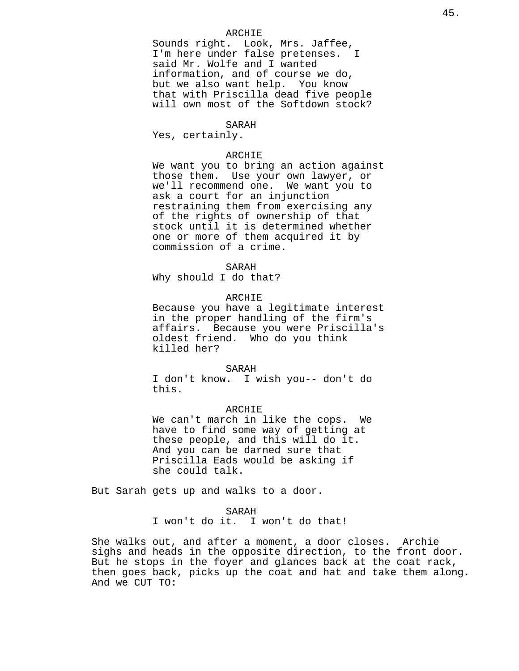# ARCHIE

Sounds right. Look, Mrs. Jaffee, I'm here under false pretenses. I said Mr. Wolfe and I wanted information, and of course we do, but we also want help. You know that with Priscilla dead five people will own most of the Softdown stock?

SARAH

Yes, certainly.

# ARCHIE

We want you to bring an action against those them. Use your own lawyer, or we'll recommend one. We want you to ask a court for an injunction restraining them from exercising any of the rights of ownership of that stock until it is determined whether one or more of them acquired it by commission of a crime.

#### SARAH

Why should I do that?

# ARCHIE

Because you have a legitimate interest in the proper handling of the firm's affairs. Because you were Priscilla's oldest friend. Who do you think killed her?

#### SARAH

I don't know. I wish you-- don't do this.

# ARCHIE

We can't march in like the cops. We have to find some way of getting at these people, and this will do it. And you can be darned sure that Priscilla Eads would be asking if she could talk.

But Sarah gets up and walks to a door.

# SARAH

I won't do it. I won't do that!

She walks out, and after a moment, a door closes. Archie sighs and heads in the opposite direction, to the front door. But he stops in the foyer and glances back at the coat rack, then goes back, picks up the coat and hat and take them along. And we CUT TO: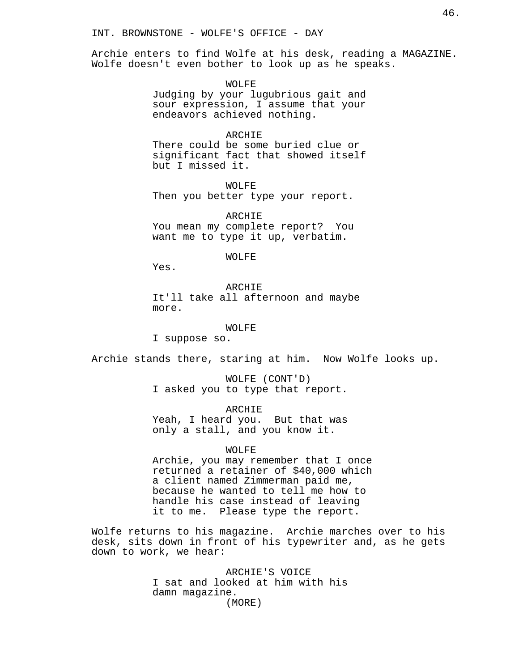Archie enters to find Wolfe at his desk, reading a MAGAZINE. Wolfe doesn't even bother to look up as he speaks.

> WOLFE Judging by your lugubrious gait and sour expression, I assume that your endeavors achieved nothing.

> ARCHIE There could be some buried clue or significant fact that showed itself but I missed it.

WOLFE Then you better type your report.

ARCHIE You mean my complete report? You want me to type it up, verbatim.

WOLFE

Yes.

ARCHIE It'll take all afternoon and maybe more.

WOLFE

I suppose so.

Archie stands there, staring at him. Now Wolfe looks up.

WOLFE (CONT'D) I asked you to type that report.

ARCHIE Yeah, I heard you. But that was only a stall, and you know it.

WOLFE

Archie, you may remember that I once returned a retainer of \$40,000 which a client named Zimmerman paid me, because he wanted to tell me how to handle his case instead of leaving it to me. Please type the report.

Wolfe returns to his magazine. Archie marches over to his desk, sits down in front of his typewriter and, as he gets down to work, we hear:

> ARCHIE'S VOICE I sat and looked at him with his damn magazine. (MORE)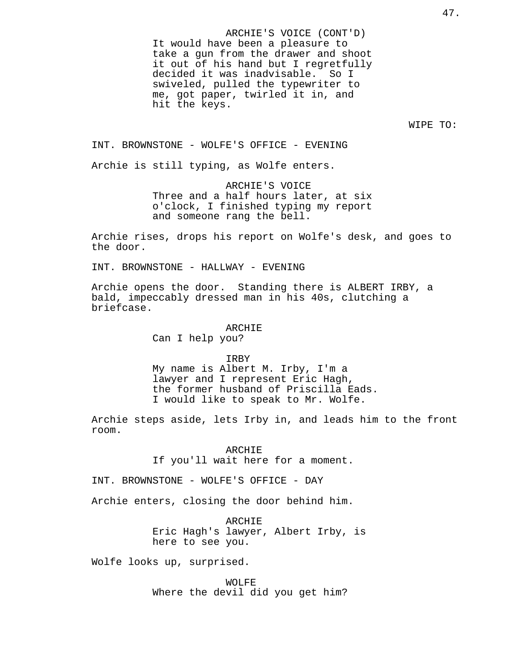ARCHIE'S VOICE (CONT'D) It would have been a pleasure to take a gun from the drawer and shoot it out of his hand but I regretfully decided it was inadvisable. So I swiveled, pulled the typewriter to me, got paper, twirled it in, and hit the keys.

WIPE TO:

INT. BROWNSTONE - WOLFE'S OFFICE - EVENING

Archie is still typing, as Wolfe enters.

ARCHIE'S VOICE Three and a half hours later, at six o'clock, I finished typing my report and someone rang the bell.

Archie rises, drops his report on Wolfe's desk, and goes to the door.

INT. BROWNSTONE - HALLWAY - EVENING

Archie opens the door. Standing there is ALBERT IRBY, a bald, impeccably dressed man in his 40s, clutching a briefcase.

#### ARCHIE

Can I help you?

IRBY

My name is Albert M. Irby, I'm a lawyer and I represent Eric Hagh, the former husband of Priscilla Eads. I would like to speak to Mr. Wolfe.

Archie steps aside, lets Irby in, and leads him to the front room.

> ARCHIE If you'll wait here for a moment.

INT. BROWNSTONE - WOLFE'S OFFICE - DAY

Archie enters, closing the door behind him.

ARCHIE Eric Hagh's lawyer, Albert Irby, is here to see you.

Wolfe looks up, surprised.

WOLFE Where the devil did you get him?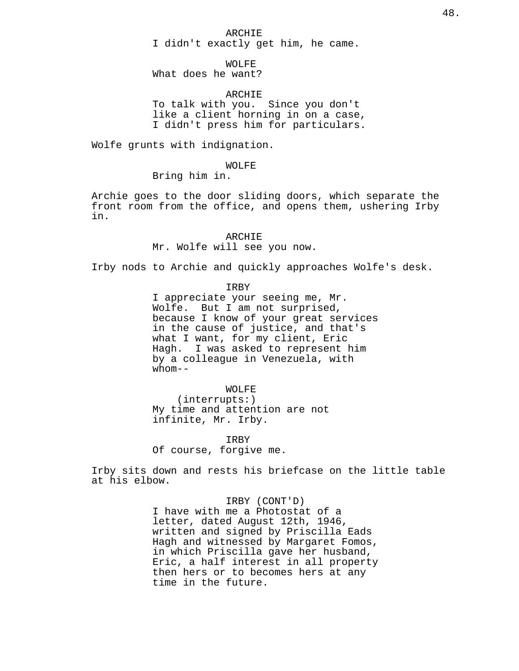ARCHIE I didn't exactly get him, he came.

WOLFE

What does he want?

ARCHIE

To talk with you. Since you don't like a client horning in on a case, I didn't press him for particulars.

Wolfe grunts with indignation.

WOLFE

Bring him in.

Archie goes to the door sliding doors, which separate the front room from the office, and opens them, ushering Irby in.

> ARCHIE Mr. Wolfe will see you now.

Irby nods to Archie and quickly approaches Wolfe's desk.

IRBY

I appreciate your seeing me, Mr. Wolfe. But I am not surprised, because I know of your great services in the cause of justice, and that's what I want, for my client, Eric Hagh. I was asked to represent him by a colleague in Venezuela, with whom--

WOLFE (interrupts:) My time and attention are not infinite, Mr. Irby.

IRBY Of course, forgive me.

Irby sits down and rests his briefcase on the little table at his elbow.

> IRBY (CONT'D) I have with me a Photostat of a letter, dated August 12th, 1946, written and signed by Priscilla Eads Hagh and witnessed by Margaret Fomos, in which Priscilla gave her husband, Eric, a half interest in all property then hers or to becomes hers at any time in the future.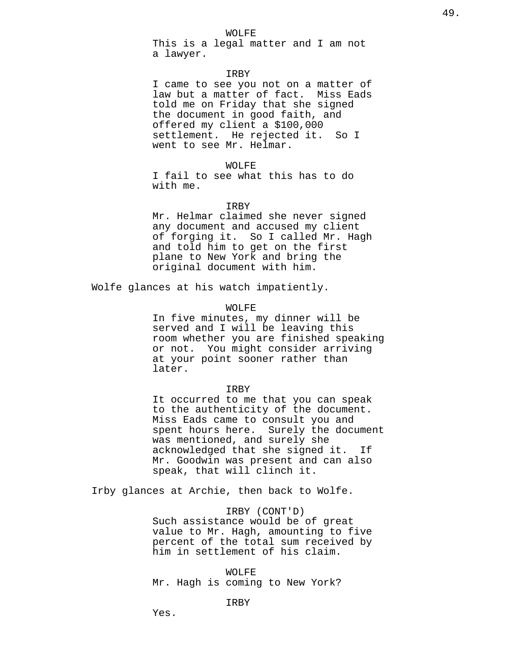## WOLFE

This is a legal matter and I am not a lawyer.

# IRBY

I came to see you not on a matter of law but a matter of fact. Miss Eads told me on Friday that she signed the document in good faith, and offered my client a \$100,000 settlement. He rejected it. So I went to see Mr. Helmar.

# WOLFE

I fail to see what this has to do with me.

# IRBY

Mr. Helmar claimed she never signed any document and accused my client of forging it. So I called Mr. Hagh and told him to get on the first plane to New York and bring the original document with him.

Wolfe glances at his watch impatiently.

#### WOLFE

In five minutes, my dinner will be served and I will be leaving this room whether you are finished speaking or not. You might consider arriving at your point sooner rather than later.

#### IRBY

It occurred to me that you can speak to the authenticity of the document. Miss Eads came to consult you and spent hours here. Surely the document was mentioned, and surely she acknowledged that she signed it. If Mr. Goodwin was present and can also speak, that will clinch it.

Irby glances at Archie, then back to Wolfe.

# IRBY (CONT'D)

Such assistance would be of great value to Mr. Hagh, amounting to five percent of the total sum received by him in settlement of his claim.

WOLFE Mr. Hagh is coming to New York?

# IRBY

Yes.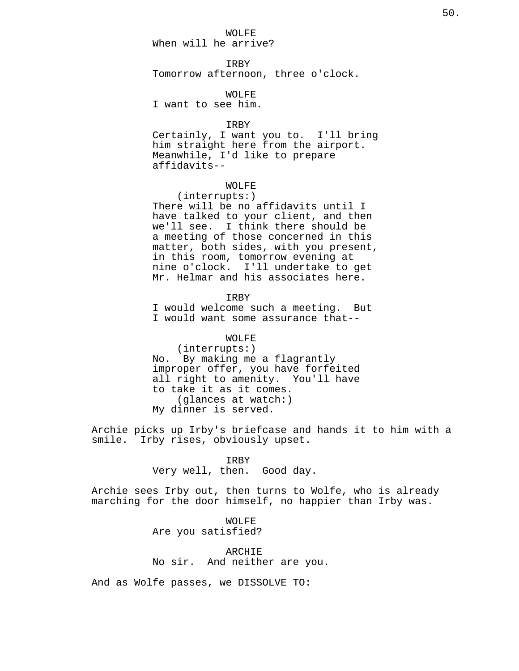WOLFE

When will he arrive?

IRBY Tomorrow afternoon, three o'clock.

WOLFE

I want to see him.

## IRBY

Certainly, I want you to. I'll bring him straight here from the airport. Meanwhile, I'd like to prepare affidavits--

# WOLFE

(interrupts:) There will be no affidavits until I have talked to your client, and then we'll see. I think there should be a meeting of those concerned in this matter, both sides, with you present, in this room, tomorrow evening at nine o'clock. I'll undertake to get Mr. Helmar and his associates here.

IRBY

I would welcome such a meeting. But I would want some assurance that--

# WOLFE

(interrupts:) No. By making me a flagrantly improper offer, you have forfeited all right to amenity. You'll have to take it as it comes. (glances at watch:) My dinner is served.

Archie picks up Irby's briefcase and hands it to him with a smile. Irby rises, obviously upset.

# IRBY

Very well, then. Good day.

Archie sees Irby out, then turns to Wolfe, who is already marching for the door himself, no happier than Irby was.

> WOLFE Are you satisfied?

ARCHIE No sir. And neither are you.

And as Wolfe passes, we DISSOLVE TO: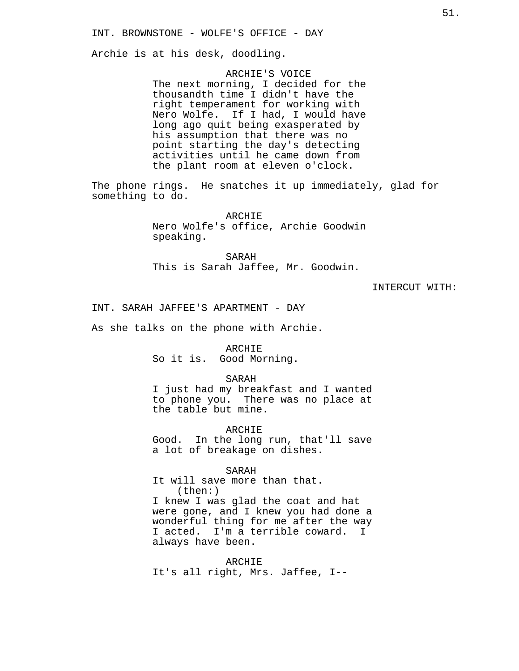Archie is at his desk, doodling.

ARCHIE'S VOICE The next morning, I decided for the thousandth time I didn't have the right temperament for working with Nero Wolfe. If I had, I would have long ago quit being exasperated by his assumption that there was no point starting the day's detecting activities until he came down from the plant room at eleven o'clock.

The phone rings. He snatches it up immediately, glad for something to do.

> ARCHIE Nero Wolfe's office, Archie Goodwin speaking.

SARAH This is Sarah Jaffee, Mr. Goodwin.

INTERCUT WITH:

INT. SARAH JAFFEE'S APARTMENT - DAY

As she talks on the phone with Archie.

ARCHIE So it is. Good Morning.

SARAH

I just had my breakfast and I wanted to phone you. There was no place at the table but mine.

ARCHIE

Good. In the long run, that'll save a lot of breakage on dishes.

SARAH

It will save more than that. (then:) I knew I was glad the coat and hat were gone, and I knew you had done a wonderful thing for me after the way I acted. I'm a terrible coward. I always have been.

ARCHIE It's all right, Mrs. Jaffee, I--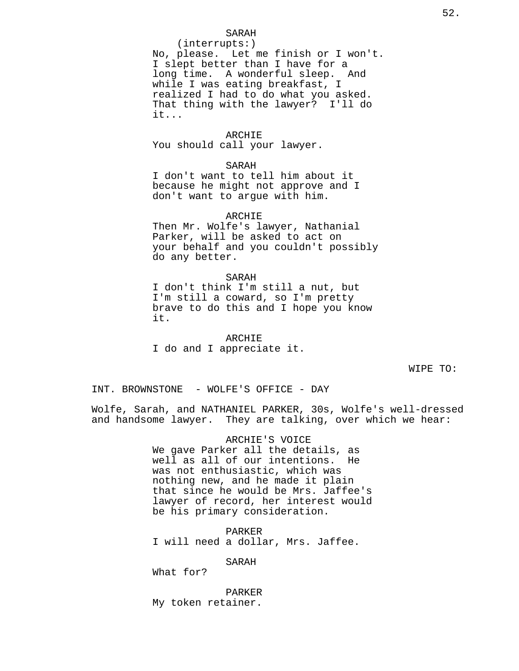# SARAH

(interrupts:) No, please. Let me finish or I won't. I slept better than I have for a long time. A wonderful sleep. And while I was eating breakfast, I realized I had to do what you asked. That thing with the lawyer? I'll do it...

# ARCHIE

You should call your lawyer.

#### SARAH

I don't want to tell him about it because he might not approve and I don't want to argue with him.

### ARCHIE

Then Mr. Wolfe's lawyer, Nathanial Parker, will be asked to act on your behalf and you couldn't possibly do any better.

SARAH I don't think I'm still a nut, but I'm still a coward, so I'm pretty brave to do this and I hope you know it.

ARCHIE I do and I appreciate it.

WIPE TO:

INT. BROWNSTONE - WOLFE'S OFFICE - DAY

Wolfe, Sarah, and NATHANIEL PARKER, 30s, Wolfe's well-dressed and handsome lawyer. They are talking, over which we hear:

> ARCHIE'S VOICE We gave Parker all the details, as well as all of our intentions. He was not enthusiastic, which was nothing new, and he made it plain that since he would be Mrs. Jaffee's lawyer of record, her interest would be his primary consideration.

PARKER I will need a dollar, Mrs. Jaffee.

SARAH

What for?

PARKER My token retainer.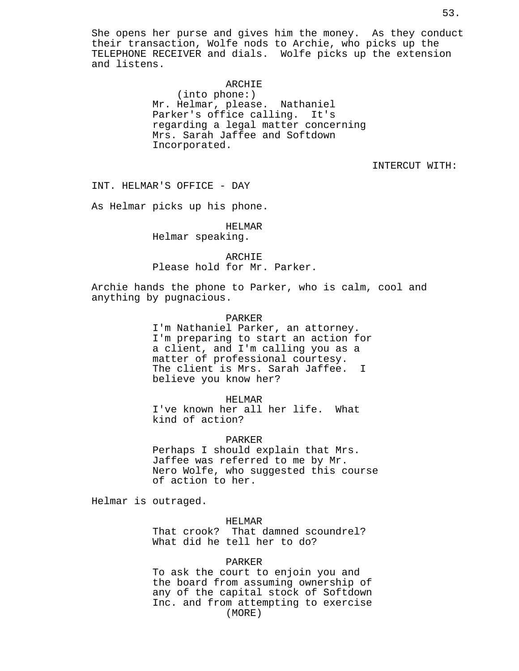She opens her purse and gives him the money. As they conduct their transaction, Wolfe nods to Archie, who picks up the TELEPHONE RECEIVER and dials. Wolfe picks up the extension and listens.

# ARCHIE

(into phone:) Mr. Helmar, please. Nathaniel Parker's office calling. It's regarding a legal matter concerning Mrs. Sarah Jaffee and Softdown Incorporated.

INTERCUT WITH:

INT. HELMAR'S OFFICE - DAY

As Helmar picks up his phone.

HELMAR Helmar speaking.

ARCHIE Please hold for Mr. Parker.

Archie hands the phone to Parker, who is calm, cool and anything by pugnacious.

### PARKER

I'm Nathaniel Parker, an attorney. I'm preparing to start an action for a client, and I'm calling you as a matter of professional courtesy. The client is Mrs. Sarah Jaffee. I believe you know her?

HELMAR

I've known her all her life. What kind of action?

PARKER

Perhaps I should explain that Mrs. Jaffee was referred to me by Mr. Nero Wolfe, who suggested this course of action to her.

Helmar is outraged.

HELMAR

That crook? That damned scoundrel? What did he tell her to do?

# PARKER

To ask the court to enjoin you and the board from assuming ownership of any of the capital stock of Softdown Inc. and from attempting to exercise (MORE)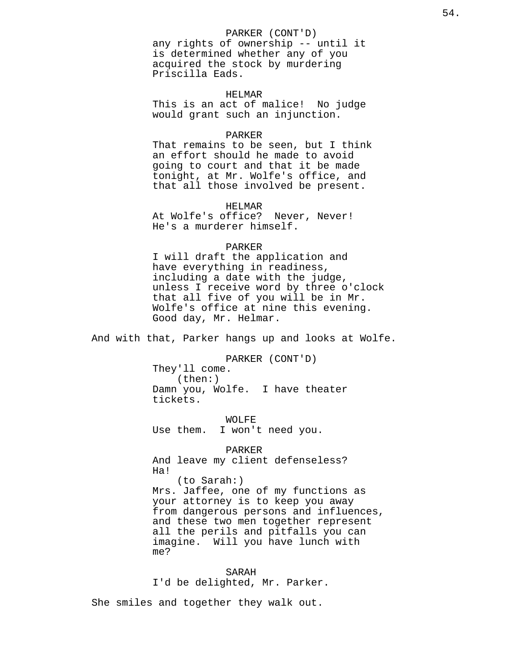# PARKER (CONT'D)

any rights of ownership -- until it is determined whether any of you acquired the stock by murdering Priscilla Eads.

# HELMAR

This is an act of malice! No judge would grant such an injunction.

## PARKER

That remains to be seen, but I think an effort should he made to avoid going to court and that it be made tonight, at Mr. Wolfe's office, and that all those involved be present.

HELMAR

At Wolfe's office? Never, Never! He's a murderer himself.

# PARKER

I will draft the application and have everything in readiness, including a date with the judge, unless I receive word by three o'clock that all five of you will be in Mr. Wolfe's office at nine this evening. Good day, Mr. Helmar.

And with that, Parker hangs up and looks at Wolfe.

PARKER (CONT'D) They'll come. (then:) Damn you, Wolfe. I have theater tickets.

WOLFE Use them. I won't need you.

PARKER And leave my client defenseless? Ha! (to Sarah:) Mrs. Jaffee, one of my functions as your attorney is to keep you away from dangerous persons and influences, and these two men together represent all the perils and pitfalls you can imagine. Will you have lunch with me?

SARAH I'd be delighted, Mr. Parker.

She smiles and together they walk out.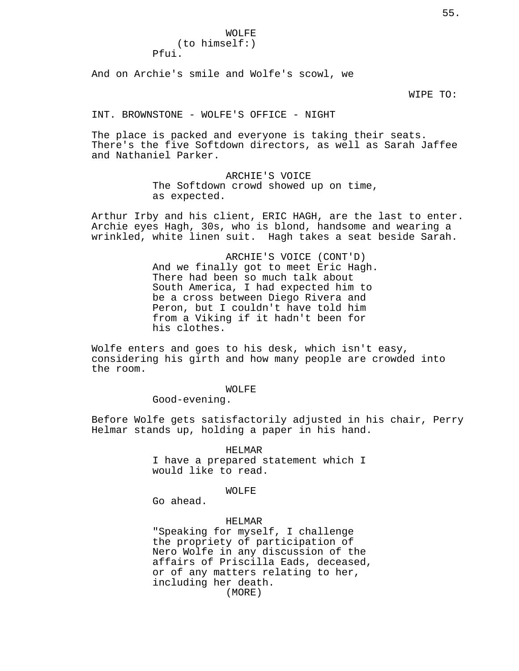Pfui.

And on Archie's smile and Wolfe's scowl, we

WIPE TO:

INT. BROWNSTONE - WOLFE'S OFFICE - NIGHT

The place is packed and everyone is taking their seats. There's the five Softdown directors, as well as Sarah Jaffee and Nathaniel Parker.

> ARCHIE'S VOICE The Softdown crowd showed up on time, as expected.

Arthur Irby and his client, ERIC HAGH, are the last to enter. Archie eyes Hagh, 30s, who is blond, handsome and wearing a wrinkled, white linen suit. Hagh takes a seat beside Sarah.

> ARCHIE'S VOICE (CONT'D) And we finally got to meet Eric Hagh. There had been so much talk about South America, I had expected him to be a cross between Diego Rivera and Peron, but I couldn't have told him from a Viking if it hadn't been for his clothes.

Wolfe enters and goes to his desk, which isn't easy, considering his girth and how many people are crowded into the room.

WOLFE

Good-evening.

Before Wolfe gets satisfactorily adjusted in his chair, Perry Helmar stands up, holding a paper in his hand.

> HELMAR I have a prepared statement which I would like to read.

# WOLFE

Go ahead.

# HELMAR

"Speaking for myself, I challenge the propriety of participation of Nero Wolfe in any discussion of the affairs of Priscilla Eads, deceased, or of any matters relating to her, including her death. (MORE)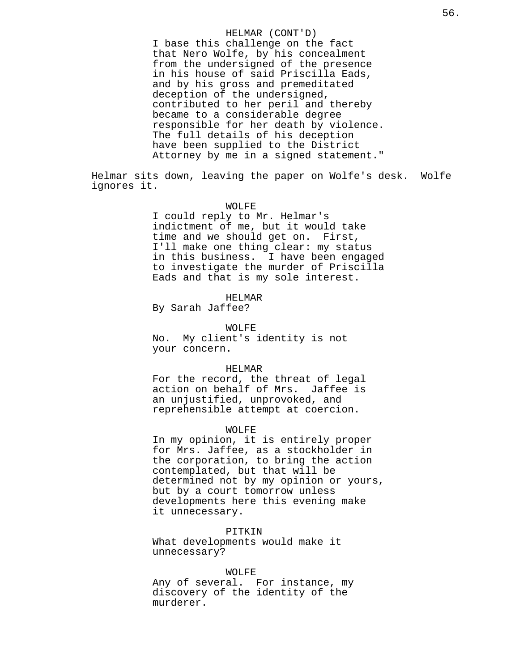# HELMAR (CONT'D)

I base this challenge on the fact that Nero Wolfe, by his concealment from the undersigned of the presence in his house of said Priscilla Eads, and by his gross and premeditated deception of the undersigned, contributed to her peril and thereby became to a considerable degree responsible for her death by violence. The full details of his deception have been supplied to the District Attorney by me in a signed statement."

Helmar sits down, leaving the paper on Wolfe's desk. Wolfe ignores it.

## WOLFE

I could reply to Mr. Helmar's indictment of me, but it would take time and we should get on. First, I'll make one thing clear: my status in this business. I have been engaged to investigate the murder of Priscilla Eads and that is my sole interest.

HELMAR

By Sarah Jaffee?

WOLFE No. My client's identity is not your concern.

## HELMAR

For the record, the threat of legal action on behalf of Mrs. Jaffee is an unjustified, unprovoked, and reprehensible attempt at coercion.

### WOLFE

In my opinion, it is entirely proper for Mrs. Jaffee, as a stockholder in the corporation, to bring the action contemplated, but that will be determined not by my opinion or yours, but by a court tomorrow unless developments here this evening make it unnecessary.

PITKIN

What developments would make it unnecessary?

### WOLFE

Any of several. For instance, my discovery of the identity of the murderer.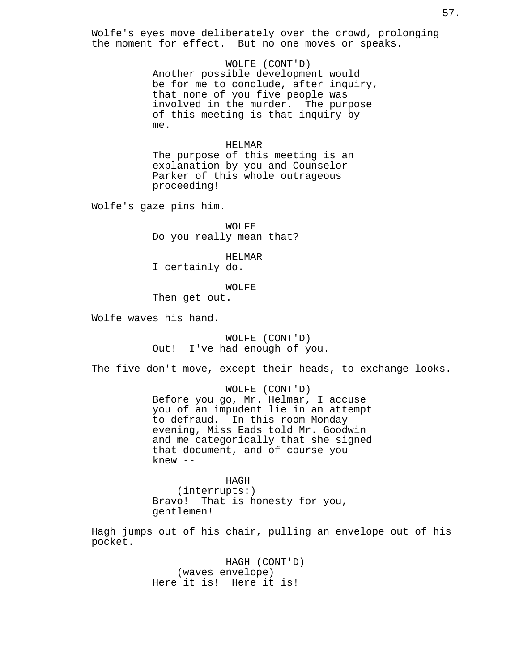Wolfe's eyes move deliberately over the crowd, prolonging the moment for effect. But no one moves or speaks.

> WOLFE (CONT'D) Another possible development would be for me to conclude, after inquiry, that none of you five people was involved in the murder. The purpose of this meeting is that inquiry by me.

# HELMAR

The purpose of this meeting is an explanation by you and Counselor Parker of this whole outrageous proceeding!

Wolfe's gaze pins him.

WOLFE Do you really mean that?

HELMAR

I certainly do.

WOLFE

Then get out.

Wolfe waves his hand.

WOLFE (CONT'D) Out! I've had enough of you.

The five don't move, except their heads, to exchange looks.

WOLFE (CONT'D) Before you go, Mr. Helmar, I accuse you of an impudent lie in an attempt to defraud. In this room Monday evening, Miss Eads told Mr. Goodwin and me categorically that she signed that document, and of course you knew --

HAGH (interrupts:) Bravo! That is honesty for you, gentlemen!

Hagh jumps out of his chair, pulling an envelope out of his pocket.

> HAGH (CONT'D) (waves envelope) Here it is! Here it is!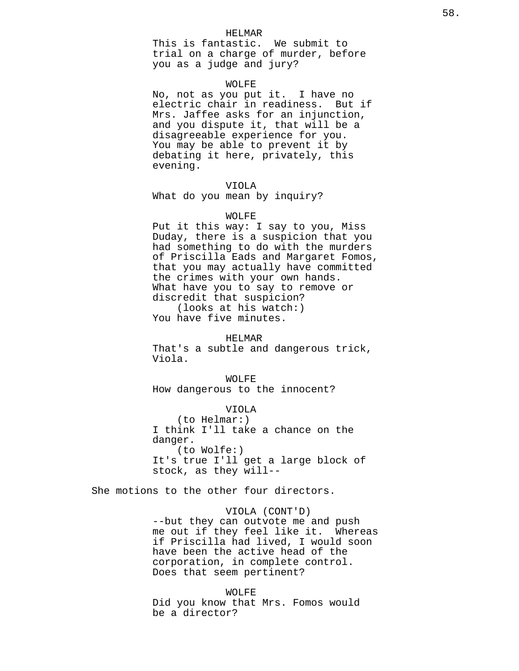### HELMAR

This is fantastic. We submit to trial on a charge of murder, before you as a judge and jury?

#### WOLFE

No, not as you put it. I have no electric chair in readiness. But if Mrs. Jaffee asks for an injunction, and you dispute it, that will be a disagreeable experience for you. You may be able to prevent it by debating it here, privately, this evening.

# VIOLA

What do you mean by inquiry?

#### WOLFE

Put it this way: I say to you, Miss Duday, there is a suspicion that you had something to do with the murders of Priscilla Eads and Margaret Fomos, that you may actually have committed the crimes with your own hands. What have you to say to remove or discredit that suspicion? (looks at his watch:)

You have five minutes.

#### HELMAR

That's a subtle and dangerous trick, Viola.

WOLFE How dangerous to the innocent?

VIOLA (to Helmar:) I think I'll take a chance on the danger. (to Wolfe:) It's true I'll get a large block of stock, as they will--

She motions to the other four directors.

# VIOLA (CONT'D)

--but they can outvote me and push me out if they feel like it. Whereas if Priscilla had lived, I would soon have been the active head of the corporation, in complete control. Does that seem pertinent?

# WOLFE Did you know that Mrs. Fomos would be a director?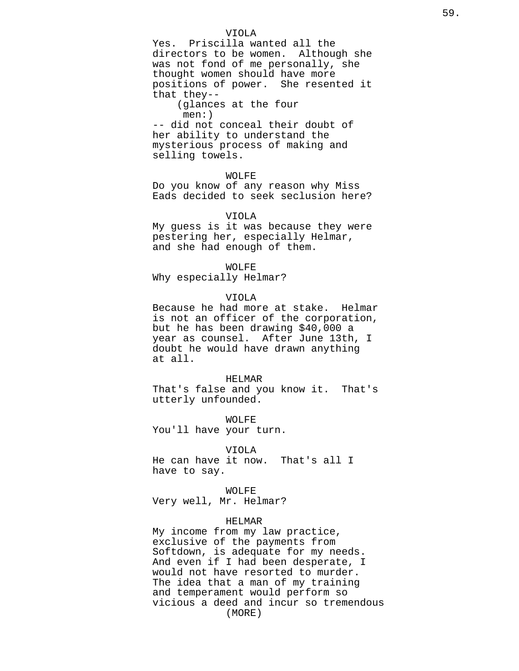# VIOLA

Yes. Priscilla wanted all the directors to be women. Although she was not fond of me personally, she thought women should have more positions of power. She resented it that they--

(glances at the four men:)

-- did not conceal their doubt of her ability to understand the mysterious process of making and selling towels.

# WOLFE

Do you know of any reason why Miss Eads decided to seek seclusion here?

### VIOLA

My guess is it was because they were pestering her, especially Helmar, and she had enough of them.

### WOLFE

Why especially Helmar?

# VIOLA

Because he had more at stake. Helmar is not an officer of the corporation, but he has been drawing \$40,000 a year as counsel. After June 13th, I doubt he would have drawn anything at all.

#### HELMAR

That's false and you know it. That's utterly unfounded.

WOLFE You'll have your turn.

#### VIOLA

He can have it now. That's all I have to say.

#### WOLFE

Very well, Mr. Helmar?

### HELMAR

My income from my law practice, exclusive of the payments from Softdown, is adequate for my needs. And even if I had been desperate, I would not have resorted to murder. The idea that a man of my training and temperament would perform so vicious a deed and incur so tremendous (MORE)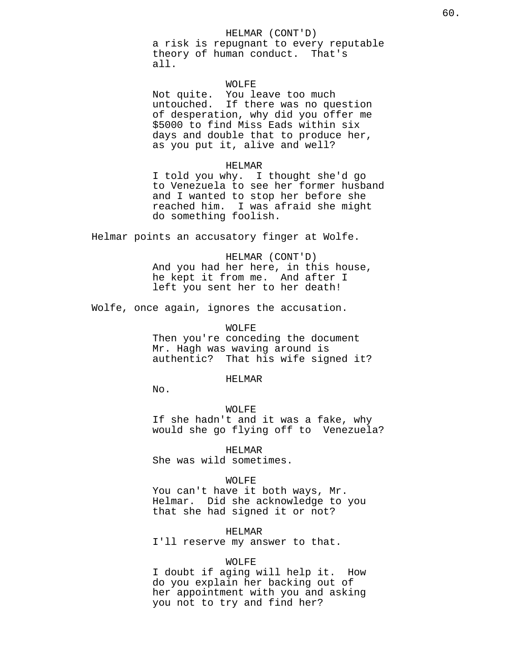# HELMAR (CONT'D)

a risk is repugnant to every reputable theory of human conduct. That's all.

# WOLFE

Not quite. You leave too much untouched. If there was no question of desperation, why did you offer me \$5000 to find Miss Eads within six days and double that to produce her, as you put it, alive and well?

#### HELMAR

I told you why. I thought she'd go to Venezuela to see her former husband and I wanted to stop her before she reached him. I was afraid she might do something foolish.

Helmar points an accusatory finger at Wolfe.

HELMAR (CONT'D) And you had her here, in this house, he kept it from me. And after I left you sent her to her death!

Wolfe, once again, ignores the accusation.

WOLFE Then you're conceding the document Mr. Hagh was waving around is authentic? That his wife signed it?

## HELMAR

No.

WOLFE If she hadn't and it was a fake, why would she go flying off to Venezuela?

HELMAR She was wild sometimes.

# WOLFE

You can't have it both ways, Mr. Helmar. Did she acknowledge to you that she had signed it or not?

HELMAR

I'll reserve my answer to that.

#### WOLFE

I doubt if aging will help it. How do you explain her backing out of her appointment with you and asking you not to try and find her?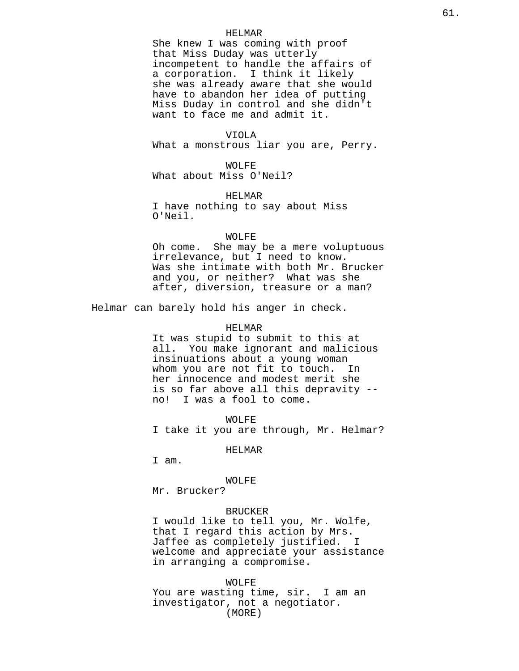#### HELMAR

She knew I was coming with proof that Miss Duday was utterly incompetent to handle the affairs of a corporation. I think it likely she was already aware that she would have to abandon her idea of putting Miss Duday in control and she didn't want to face me and admit it.

# VIOLA

What a monstrous liar you are, Perry.

WOLFE What about Miss O'Neil?

HELMAR I have nothing to say about Miss O'Neil.

## WOLFE

Oh come. She may be a mere voluptuous irrelevance, but I need to know. Was she intimate with both Mr. Brucker and you, or neither? What was she after, diversion, treasure or a man?

Helmar can barely hold his anger in check.

## HELMAR

It was stupid to submit to this at all. You make ignorant and malicious insinuations about a young woman whom you are not fit to touch. In her innocence and modest merit she is so far above all this depravity - no! I was a fool to come.

WOLFE I take it you are through, Mr. Helmar?

HELMAR

I am.

### WOLFE

Mr. Brucker?

# BRUCKER

I would like to tell you, Mr. Wolfe, that I regard this action by Mrs. Jaffee as completely justified. I welcome and appreciate your assistance in arranging a compromise.

WOLFE

You are wasting time, sir. I am an investigator, not a negotiator. (MORE)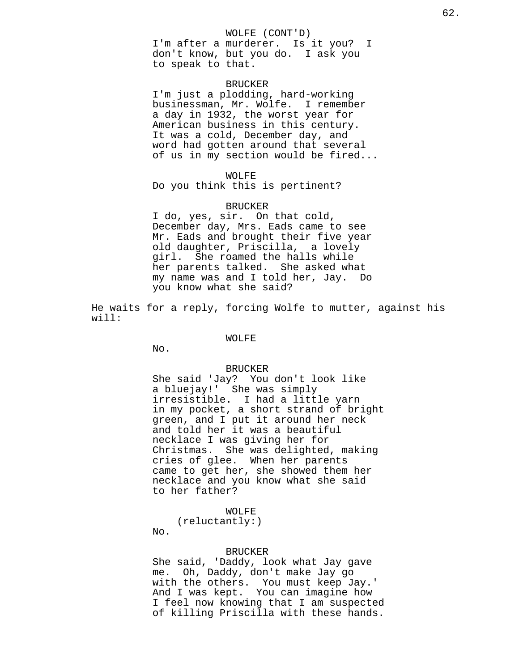### WOLFE (CONT'D)

I'm after a murderer. Is it you? I don't know, but you do. I ask you to speak to that.

## BRUCKER

I'm just a plodding, hard-working businessman, Mr. Wolfe. I remember a day in 1932, the worst year for American business in this century. It was a cold, December day, and word had gotten around that several of us in my section would be fired...

### WOLFE

Do you think this is pertinent?

## BRUCKER

I do, yes, sir. On that cold, December day, Mrs. Eads came to see Mr. Eads and brought their five year old daughter, Priscilla, a lovely girl. She roamed the halls while her parents talked. She asked what my name was and I told her, Jay. Do you know what she said?

He waits for a reply, forcing Wolfe to mutter, against his will:

## WOLFE

No.

#### BRUCKER

She said 'Jay? You don't look like a bluejay!' She was simply irresistible. I had a little yarn in my pocket, a short strand of bright green, and I put it around her neck and told her it was a beautiful necklace I was giving her for Christmas. She was delighted, making cries of glee. When her parents came to get her, she showed them her necklace and you know what she said to her father?

WOLFE

(reluctantly:) No.

#### BRUCKER

She said, 'Daddy, look what Jay gave me. Oh, Daddy, don't make Jay go with the others. You must keep Jay.' And I was kept. You can imagine how I feel now knowing that I am suspected of killing Priscilla with these hands.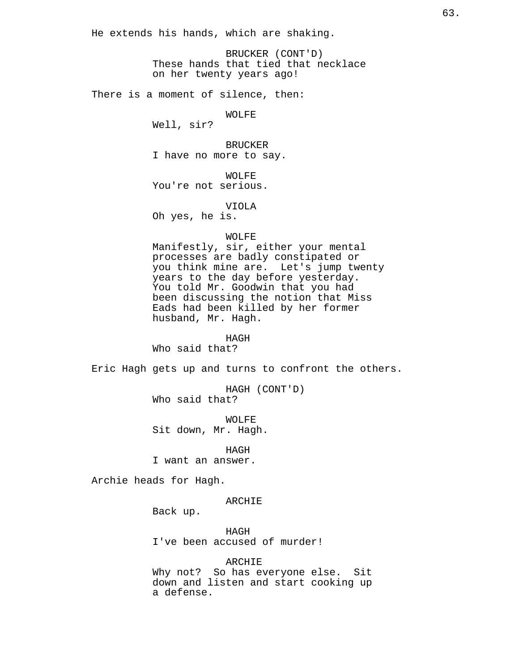He extends his hands, which are shaking.

BRUCKER (CONT'D) These hands that tied that necklace on her twenty years ago!

There is a moment of silence, then:

WOLFE

Well, sir?

BRUCKER I have no more to say.

WOLFE You're not serious.

VIOLA

Oh yes, he is.

# WOLFE

Manifestly, sir, either your mental processes are badly constipated or you think mine are. Let's jump twenty years to the day before yesterday. You told Mr. Goodwin that you had been discussing the notion that Miss Eads had been killed by her former husband, Mr. Hagh.

HAGH

Who said that?

Eric Hagh gets up and turns to confront the others.

HAGH (CONT'D) Who said that?

WOLFE Sit down, Mr. Hagh.

HAGH I want an answer.

Archie heads for Hagh.

ARCHIE

Back up.

HAGH I've been accused of murder!

ARCHIE

Why not? So has everyone else. Sit down and listen and start cooking up a defense.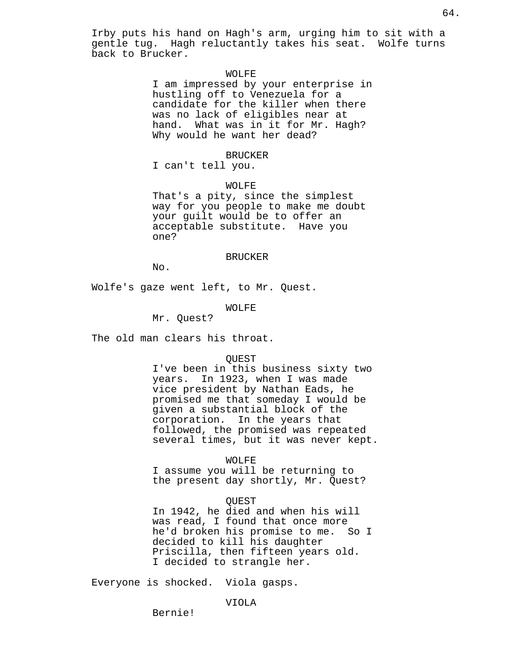Irby puts his hand on Hagh's arm, urging him to sit with a gentle tug. Hagh reluctantly takes his seat. Wolfe turns back to Brucker.

# WOLFE

I am impressed by your enterprise in hustling off to Venezuela for a candidate for the killer when there was no lack of eligibles near at hand. What was in it for Mr. Hagh? Why would he want her dead?

#### BRUCKER

I can't tell you.

WOLFE

That's a pity, since the simplest way for you people to make me doubt your guilt would be to offer an acceptable substitute. Have you one?

## BRUCKER

No.

Wolfe's gaze went left, to Mr. Quest.

# WOLFE

Mr. Quest?

The old man clears his throat.

### QUEST

I've been in this business sixty two years. In 1923, when I was made vice president by Nathan Eads, he promised me that someday I would be given a substantial block of the corporation. In the years that followed, the promised was repeated several times, but it was never kept.

# WOLFE

I assume you will be returning to the present day shortly, Mr. Quest?

# QUEST

In 1942, he died and when his will was read, I found that once more he'd broken his promise to me. So I decided to kill his daughter Priscilla, then fifteen years old. I decided to strangle her.

Everyone is shocked. Viola gasps.

Bernie!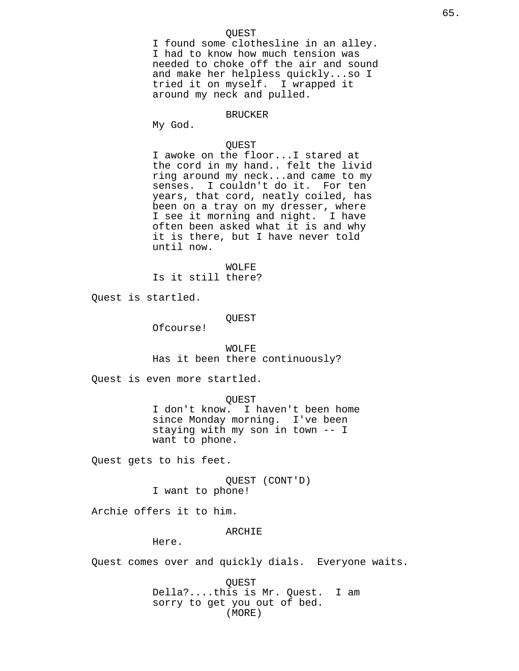# QUEST

I found some clothesline in an alley. I had to know how much tension was needed to choke off the air and sound and make her helpless quickly...so I tried it on myself. I wrapped it around my neck and pulled.

### BRUCKER

My God.

# QUEST

I awoke on the floor...I stared at the cord in my hand.. felt the livid ring around my neck...and came to my senses. I couldn't do it. For ten years, that cord, neatly coiled, has been on a tray on my dresser, where I see it morning and night. I have often been asked what it is and why it is there, but I have never told until now.

WOLFE Is it still there?

Quest is startled.

QUEST

Ofcourse!

WOLFE Has it been there continuously?

Quest is even more startled.

QUEST

I don't know. I haven't been home since Monday morning. I've been staying with my son in town -- I want to phone.

Quest gets to his feet.

QUEST (CONT'D) I want to phone!

Archie offers it to him.

ARCHIE

Here.

Quest comes over and quickly dials. Everyone waits.

QUEST Della?....this is Mr. Quest. I am sorry to get you out of bed. (MORE)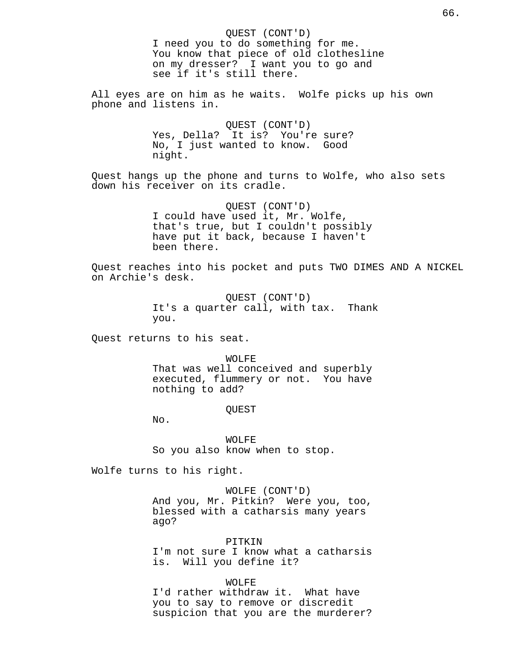QUEST (CONT'D) I need you to do something for me. You know that piece of old clothesline on my dresser? I want you to go and see if it's still there. All eyes are on him as he waits. Wolfe picks up his own phone and listens in. QUEST (CONT'D) Yes, Della? It is? You're sure? No, I just wanted to know. Good night. Quest hangs up the phone and turns to Wolfe, who also sets down his receiver on its cradle. QUEST (CONT'D) I could have used it, Mr. Wolfe, that's true, but I couldn't possibly have put it back, because I haven't been there. Quest reaches into his pocket and puts TWO DIMES AND A NICKEL on Archie's desk. QUEST (CONT'D) It's a quarter call, with tax. Thank you. Quest returns to his seat. WOLFE That was well conceived and superbly executed, flummery or not. You have nothing to add? QUEST No. WOLFE So you also know when to stop. Wolfe turns to his right. WOLFE (CONT'D) And you, Mr. Pitkin? Were you, too, blessed with a catharsis many years ago? PITKIN I'm not sure I know what a catharsis is. Will you define it?

66.

WOLFE

I'd rather withdraw it. What have you to say to remove or discredit suspicion that you are the murderer?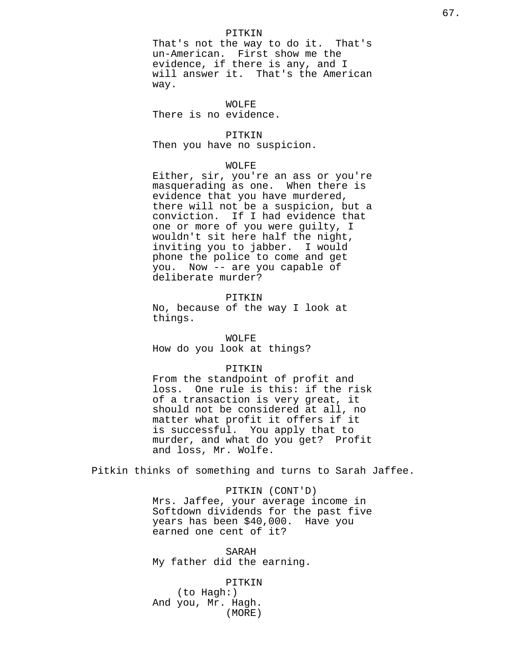# PITKIN

That's not the way to do it. That's un-American. First show me the evidence, if there is any, and I will answer it. That's the American way.

WOLFE There is no evidence.

# PITKIN

Then you have no suspicion.

# WOLFE

Either, sir, you're an ass or you're masquerading as one. When there is evidence that you have murdered, there will not be a suspicion, but a conviction. If I had evidence that one or more of you were guilty, I wouldn't sit here half the night, inviting you to jabber. I would phone the police to come and get you. Now -- are you capable of deliberate murder?

# PITKIN

No, because of the way I look at things.

## WOLFE

How do you look at things?

# PITKIN

From the standpoint of profit and loss. One rule is this: if the risk of a transaction is very great, it should not be considered at all, no matter what profit it offers if it is successful. You apply that to murder, and what do you get? Profit and loss, Mr. Wolfe.

Pitkin thinks of something and turns to Sarah Jaffee.

PITKIN (CONT'D) Mrs. Jaffee, your average income in Softdown dividends for the past five years has been \$40,000. Have you earned one cent of it?

SARAH My father did the earning.

PITKIN (to Hagh:) And you, Mr. Hagh. (MORE)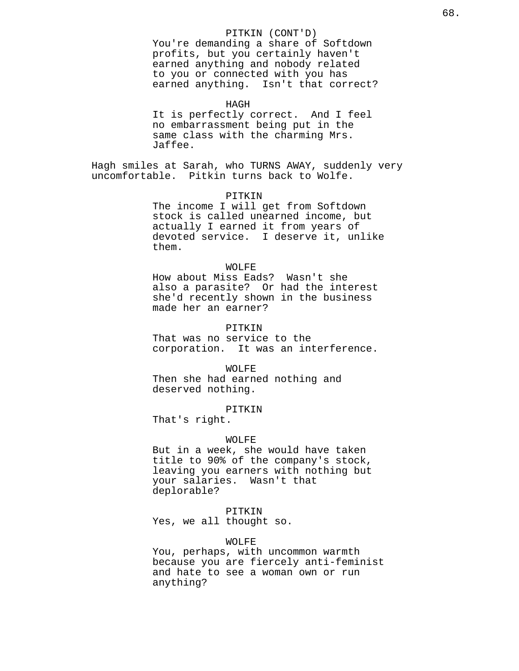# PITKIN (CONT'D)

You're demanding a share of Softdown profits, but you certainly haven't earned anything and nobody related to you or connected with you has earned anything. Isn't that correct?

HAGH

It is perfectly correct. And I feel no embarrassment being put in the same class with the charming Mrs. Jaffee.

Hagh smiles at Sarah, who TURNS AWAY, suddenly very uncomfortable. Pitkin turns back to Wolfe.

PITKIN

The income I will get from Softdown stock is called unearned income, but actually I earned it from years of devoted service. I deserve it, unlike them.

#### WOLFE

How about Miss Eads? Wasn't she also a parasite? Or had the interest she'd recently shown in the business made her an earner?

#### PITKIN

That was no service to the corporation. It was an interference.

## WOLFE

Then she had earned nothing and deserved nothing.

# PITKIN

That's right.

#### WOLFE

But in a week, she would have taken title to 90% of the company's stock, leaving you earners with nothing but your salaries. Wasn't that deplorable?

### PITKIN

Yes, we all thought so.

# WOLFE

You, perhaps, with uncommon warmth because you are fiercely anti-feminist and hate to see a woman own or run anything?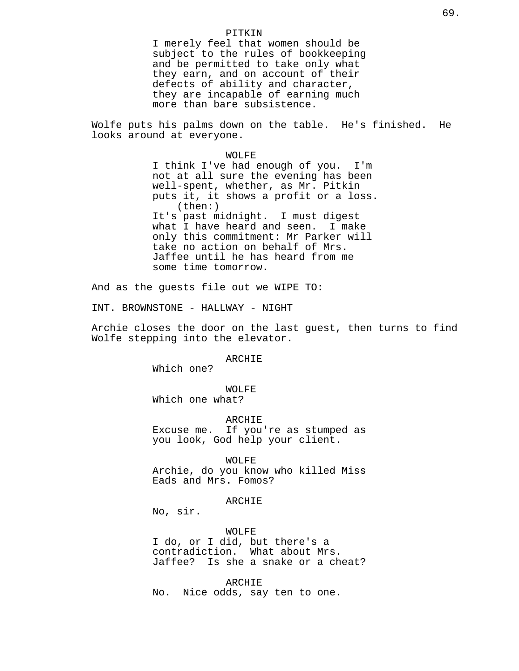# PITKIN

I merely feel that women should be subject to the rules of bookkeeping and be permitted to take only what they earn, and on account of their defects of ability and character, they are incapable of earning much more than bare subsistence.

Wolfe puts his palms down on the table. He's finished. He looks around at everyone.

> WOLFE I think I've had enough of you. I'm not at all sure the evening has been well-spent, whether, as Mr. Pitkin puts it, it shows a profit or a loss. (then:) It's past midnight. I must digest what I have heard and seen. I make only this commitment: Mr Parker will take no action on behalf of Mrs. Jaffee until he has heard from me some time tomorrow.

And as the guests file out we WIPE TO:

INT. BROWNSTONE - HALLWAY - NIGHT

Archie closes the door on the last guest, then turns to find Wolfe stepping into the elevator.

ARCHIE

Which one?

WOLFE Which one what?

ARCHIE

Excuse me. If you're as stumped as you look, God help your client.

WOLFE

Archie, do you know who killed Miss Eads and Mrs. Fomos?

ARCHIE

No, sir.

WOLFE

I do, or I did, but there's a contradiction. What about Mrs. Jaffee? Is she a snake or a cheat?

ARCHIE No. Nice odds, say ten to one.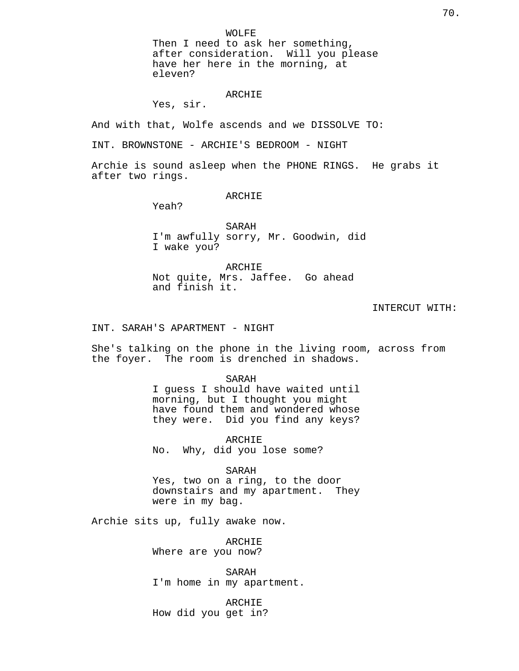WOLFE

Then I need to ask her something, after consideration. Will you please have her here in the morning, at eleven?

# ARCHIE

Yes, sir.

And with that, Wolfe ascends and we DISSOLVE TO:

INT. BROWNSTONE - ARCHIE'S BEDROOM - NIGHT

Archie is sound asleep when the PHONE RINGS. He grabs it after two rings.

ARCHIE

Yeah?

SARAH I'm awfully sorry, Mr. Goodwin, did I wake you?

ARCHIE Not quite, Mrs. Jaffee. Go ahead and finish it.

### INTERCUT WITH:

INT. SARAH'S APARTMENT - NIGHT

She's talking on the phone in the living room, across from the foyer. The room is drenched in shadows.

> SARAH I guess I should have waited until morning, but I thought you might have found them and wondered whose they were. Did you find any keys?

ARCHIE No. Why, did you lose some?

SARAH

Yes, two on a ring, to the door downstairs and my apartment. They were in my bag.

Archie sits up, fully awake now.

ARCHIE Where are you now?

SARAH I'm home in my apartment.

ARCHIE How did you get in?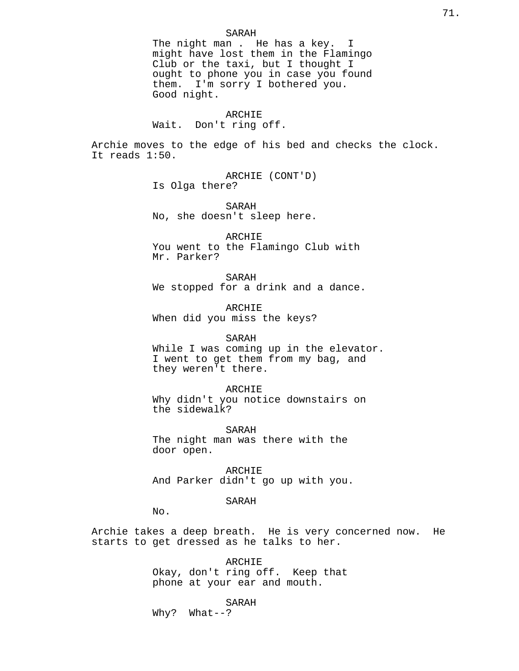## SARAH

The night man . He has a key. I might have lost them in the Flamingo Club or the taxi, but I thought I ought to phone you in case you found them. I'm sorry I bothered you. Good night.

### ARCHIE

Wait. Don't ring off.

Archie moves to the edge of his bed and checks the clock. It reads 1:50.

> ARCHIE (CONT'D) Is Olga there?

> SARAH No, she doesn't sleep here.

ARCHIE You went to the Flamingo Club with Mr. Parker?

SARAH We stopped for a drink and a dance.

ARCHIE When did you miss the keys?

## SARAH

While I was coming up in the elevator. I went to get them from my bag, and they weren't there.

# ARCHIE

Why didn't you notice downstairs on the sidewalk?

SARAH

The night man was there with the door open.

ARCHIE And Parker didn't go up with you.

# SARAH

No.

Archie takes a deep breath. He is very concerned now. He starts to get dressed as he talks to her.

> ARCHIE Okay, don't ring off. Keep that phone at your ear and mouth.

# SARAH

Why? What--?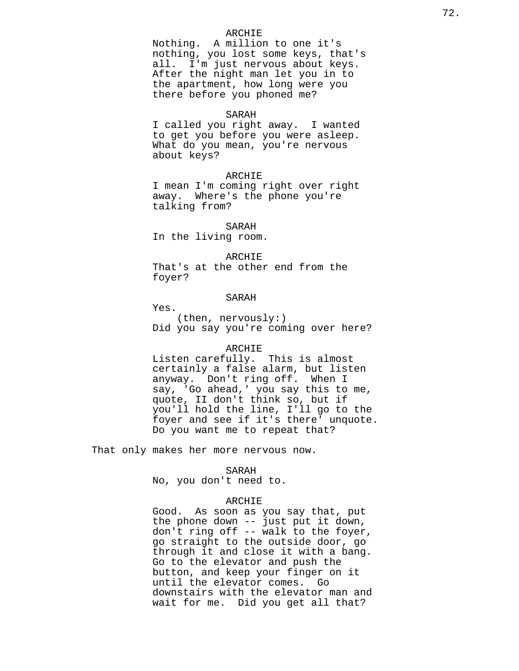# ARCHIE

Nothing. A million to one it's nothing, you lost some keys, that's all. I'm just nervous about keys. After the night man let you in to the apartment, how long were you there before you phoned me?

## SARAH

I called you right away. I wanted to get you before you were asleep. What do you mean, you're nervous about keys?

# ARCHIE

I mean I'm coming right over right away. Where's the phone you're talking from?

#### SARAH

In the living room.

# ARCHIE

That's at the other end from the foyer?

# SARAH

Yes.

(then, nervously:) Did you say you're coming over here?

# ARCHIE

Listen carefully. This is almost certainly a false alarm, but listen anyway. Don't ring off. When I say, 'Go ahead,' you say this to me, quote, II don't think so, but if you'll hold the line, I'll go to the foyer and see if it's there' unquote. Do you want me to repeat that?

That only makes her more nervous now.

### SARAH

No, you don't need to.

# ARCHIE

Good. As soon as you say that, put the phone down -- just put it down, don't ring off -- walk to the foyer, go straight to the outside door, go through it and close it with a bang. Go to the elevator and push the button, and keep your finger on it until the elevator comes. Go downstairs with the elevator man and wait for me. Did you get all that?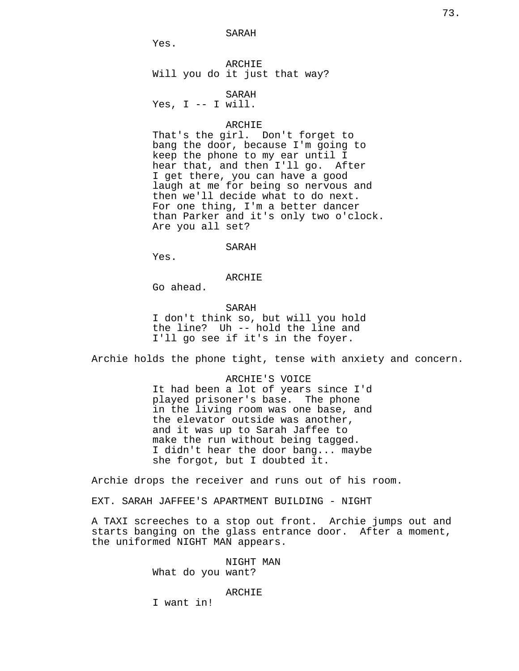SARAH

Yes.

ARCHIE Will you do it just that way?

SARAH

Yes,  $I$  -- I will.

# ARCHIE

That's the girl. Don't forget to bang the door, because I'm going to keep the phone to my ear until I hear that, and then I'll go. After I get there, you can have a good laugh at me for being so nervous and then we'll decide what to do next. For one thing, I'm a better dancer than Parker and it's only two o'clock. Are you all set?

### SARAH

Yes.

ARCHIE

Go ahead.

SARAH

I don't think so, but will you hold the line? Uh -- hold the line and I'll go see if it's in the foyer.

Archie holds the phone tight, tense with anxiety and concern.

ARCHIE'S VOICE It had been a lot of years since I'd played prisoner's base. The phone in the living room was one base, and the elevator outside was another, and it was up to Sarah Jaffee to make the run without being tagged. I didn't hear the door bang... maybe she forgot, but I doubted it.

Archie drops the receiver and runs out of his room.

EXT. SARAH JAFFEE'S APARTMENT BUILDING - NIGHT

A TAXI screeches to a stop out front. Archie jumps out and starts banging on the glass entrance door. After a moment, the uniformed NIGHT MAN appears.

> NIGHT MAN What do you want?

## ARCHIE

I want in!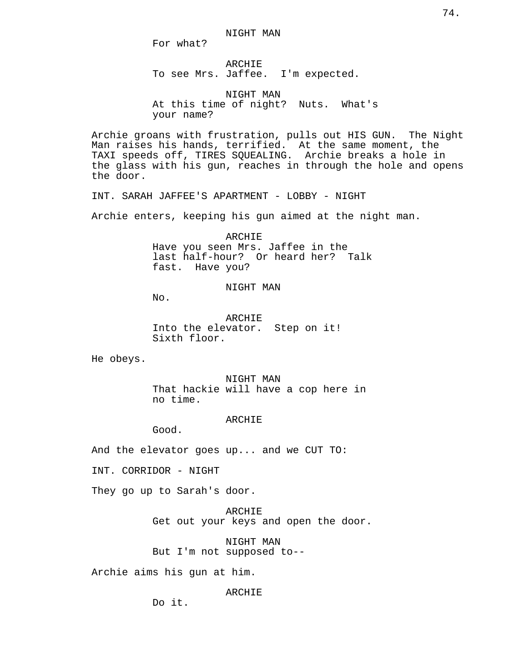For what?

ARCHIE To see Mrs. Jaffee. I'm expected.

NIGHT MAN At this time of night? Nuts. What's your name?

Archie groans with frustration, pulls out HIS GUN. The Night Man raises his hands, terrified. At the same moment, the TAXI speeds off, TIRES SQUEALING. Archie breaks a hole in the glass with his gun, reaches in through the hole and opens the door.

INT. SARAH JAFFEE'S APARTMENT - LOBBY - NIGHT

Archie enters, keeping his gun aimed at the night man.

ARCHIE Have you seen Mrs. Jaffee in the last half-hour? Or heard her? Talk fast. Have you?

NIGHT MAN

No.

ARCHIE Into the elevator. Step on it! Sixth floor.

He obeys.

NIGHT MAN That hackie will have a cop here in no time.

ARCHIE

Good.

And the elevator goes up... and we CUT TO:

INT. CORRIDOR - NIGHT

They go up to Sarah's door.

ARCHIE Get out your keys and open the door.

NIGHT MAN But I'm not supposed to--

Archie aims his gun at him.

ARCHIE

Do it.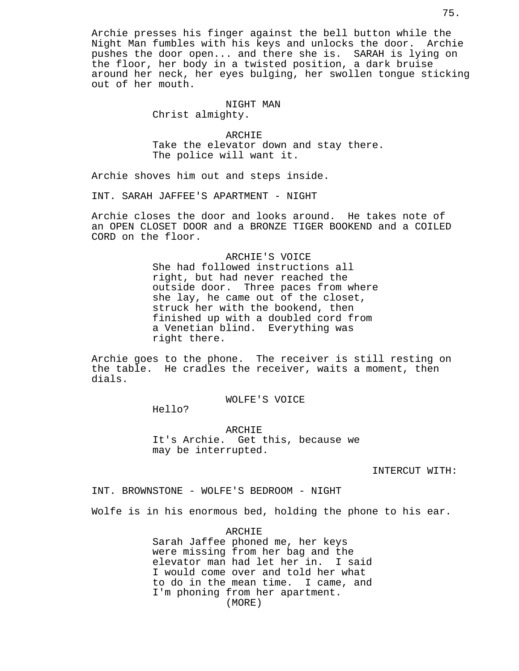Archie presses his finger against the bell button while the Night Man fumbles with his keys and unlocks the door. Archie pushes the door open... and there she is. SARAH is lying on the floor, her body in a twisted position, a dark bruise around her neck, her eyes bulging, her swollen tongue sticking out of her mouth.

## NIGHT MAN

Christ almighty.

ARCHIE Take the elevator down and stay there. The police will want it.

Archie shoves him out and steps inside.

INT. SARAH JAFFEE'S APARTMENT - NIGHT

Archie closes the door and looks around. He takes note of an OPEN CLOSET DOOR and a BRONZE TIGER BOOKEND and a COILED CORD on the floor.

> ARCHIE'S VOICE She had followed instructions all right, but had never reached the outside door. Three paces from where she lay, he came out of the closet, struck her with the bookend, then finished up with a doubled cord from a Venetian blind. Everything was right there.

Archie goes to the phone. The receiver is still resting on the table. He cradles the receiver, waits a moment, then dials.

WOLFE'S VOICE

Hello?

ARCHIE It's Archie. Get this, because we may be interrupted.

INTERCUT WITH:

INT. BROWNSTONE - WOLFE'S BEDROOM - NIGHT

Wolfe is in his enormous bed, holding the phone to his ear.

ARCHIE

Sarah Jaffee phoned me, her keys were missing from her bag and the elevator man had let her in. I said I would come over and told her what to do in the mean time. I came, and I'm phoning from her apartment. (MORE)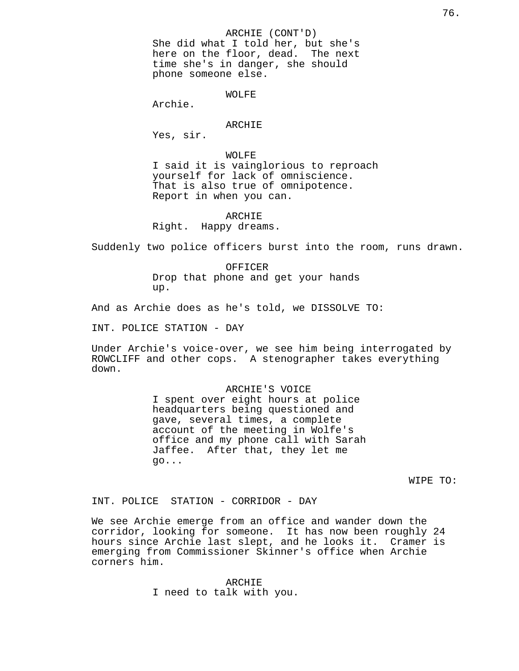### ARCHIE (CONT'D)

She did what I told her, but she's here on the floor, dead. The next time she's in danger, she should phone someone else.

## WOLFE

Archie.

## ARCHIE

Yes, sir.

WOLFE I said it is vainglorious to reproach yourself for lack of omniscience. That is also true of omnipotence. Report in when you can.

## ARCHIE

Right. Happy dreams.

Suddenly two police officers burst into the room, runs drawn.

OFFICER Drop that phone and get your hands up.

And as Archie does as he's told, we DISSOLVE TO:

INT. POLICE STATION - DAY

Under Archie's voice-over, we see him being interrogated by ROWCLIFF and other cops. A stenographer takes everything down.

> ARCHIE'S VOICE I spent over eight hours at police headquarters being questioned and gave, several times, a complete account of the meeting in Wolfe's office and my phone call with Sarah Jaffee. After that, they let me go...

> > WIPE TO:

INT. POLICE STATION - CORRIDOR - DAY

We see Archie emerge from an office and wander down the corridor, looking for someone. It has now been roughly 24 hours since Archie last slept, and he looks it. Cramer is emerging from Commissioner Skinner's office when Archie corners him.

> ARCHIE I need to talk with you.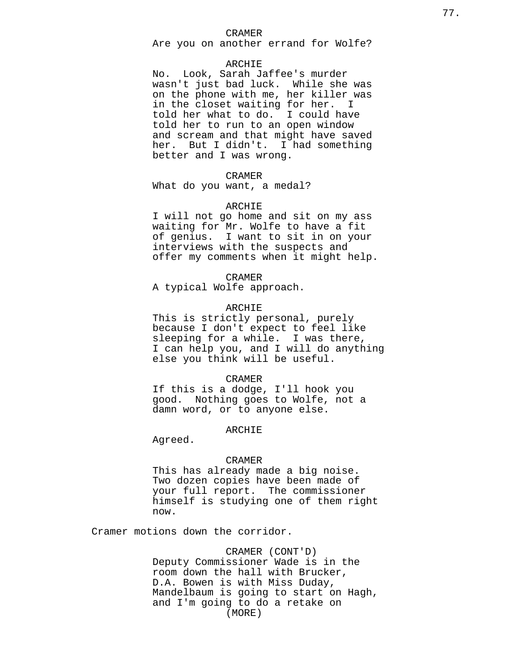Are you on another errand for Wolfe?

### ARCHIE

No. Look, Sarah Jaffee's murder wasn't just bad luck. While she was on the phone with me, her killer was in the closet waiting for her. I told her what to do. I could have told her to run to an open window and scream and that might have saved her. But I didn't. I had something better and I was wrong.

## CRAMER

What do you want, a medal?

### ARCHIE

I will not go home and sit on my ass waiting for Mr. Wolfe to have a fit of genius. I want to sit in on your interviews with the suspects and offer my comments when it might help.

### CRAMER

A typical Wolfe approach.

## ARCHIE

This is strictly personal, purely because I don't expect to feel like sleeping for a while. I was there, I can help you, and I will do anything else you think will be useful.

#### CRAMER

If this is a dodge, I'll hook you good. Nothing goes to Wolfe, not a damn word, or to anyone else.

#### ARCHIE

Agreed.

### CRAMER

This has already made a big noise. Two dozen copies have been made of your full report. The commissioner himself is studying one of them right now.

Cramer motions down the corridor.

CRAMER (CONT'D) Deputy Commissioner Wade is in the room down the hall with Brucker, D.A. Bowen is with Miss Duday, Mandelbaum is going to start on Hagh, and I'm going to do a retake on (MORE)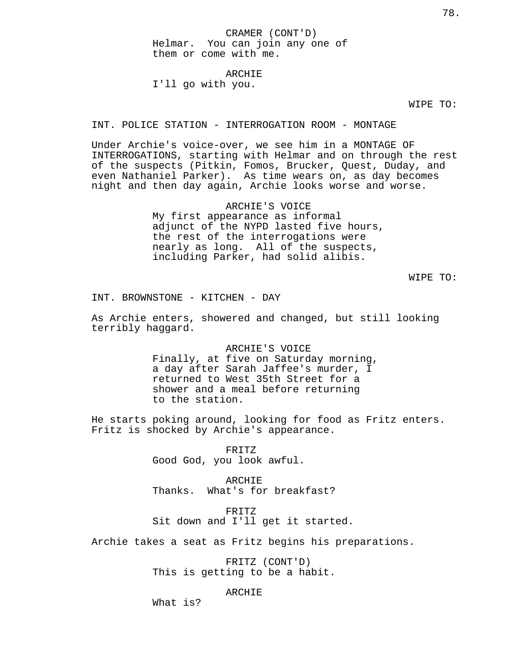CRAMER (CONT'D) Helmar. You can join any one of them or come with me.

ARCHIE

I'll go with you.

WIPE TO:

INT. POLICE STATION - INTERROGATION ROOM - MONTAGE

Under Archie's voice-over, we see him in a MONTAGE OF INTERROGATIONS, starting with Helmar and on through the rest of the suspects (Pitkin, Fomos, Brucker, Quest, Duday, and even Nathaniel Parker). As time wears on, as day becomes night and then day again, Archie looks worse and worse.

> ARCHIE'S VOICE My first appearance as informal adjunct of the NYPD lasted five hours, the rest of the interrogations were nearly as long. All of the suspects, including Parker, had solid alibis.

> > WIPE TO:

INT. BROWNSTONE - KITCHEN - DAY

As Archie enters, showered and changed, but still looking terribly haggard.

ARCHIE'S VOICE

Finally, at five on Saturday morning, a day after Sarah Jaffee's murder, I returned to West 35th Street for a shower and a meal before returning to the station.

He starts poking around, looking for food as Fritz enters. Fritz is shocked by Archie's appearance.

> FRITZ Good God, you look awful.

ARCHIE Thanks. What's for breakfast?

FRITZ Sit down and I'll get it started.

Archie takes a seat as Fritz begins his preparations.

FRITZ (CONT'D) This is getting to be a habit.

ARCHIE

What is?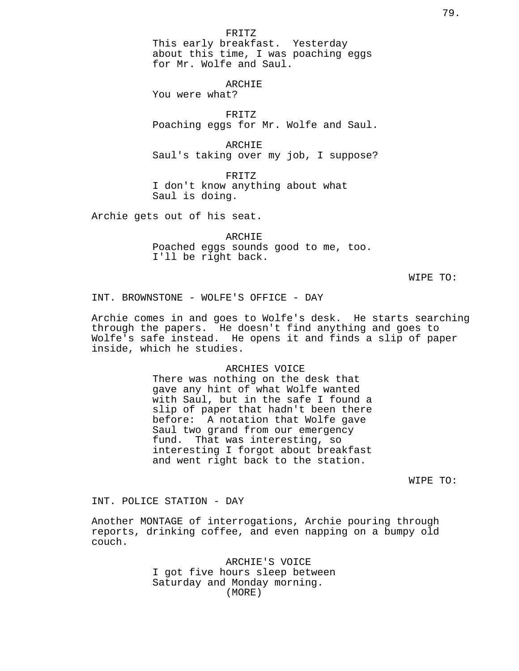### FRITZ

This early breakfast. Yesterday about this time, I was poaching eggs for Mr. Wolfe and Saul.

## ARCHIE

You were what?

FRITZ Poaching eggs for Mr. Wolfe and Saul.

ARCHIE Saul's taking over my job, I suppose?

FRITZ I don't know anything about what Saul is doing.

Archie gets out of his seat.

ARCHIE Poached eggs sounds good to me, too. I'll be right back.

WIPE TO:

INT. BROWNSTONE - WOLFE'S OFFICE - DAY

Archie comes in and goes to Wolfe's desk. He starts searching through the papers. He doesn't find anything and goes to Wolfe's safe instead. He opens it and finds a slip of paper inside, which he studies.

# ARCHIES VOICE There was nothing on the desk that gave any hint of what Wolfe wanted with Saul, but in the safe I found a slip of paper that hadn't been there before: A notation that Wolfe gave Saul two grand from our emergency fund. That was interesting, so interesting I forgot about breakfast and went right back to the station.

WIPE TO:

INT. POLICE STATION - DAY

Another MONTAGE of interrogations, Archie pouring through reports, drinking coffee, and even napping on a bumpy old couch.

> ARCHIE'S VOICE I got five hours sleep between Saturday and Monday morning. (MORE)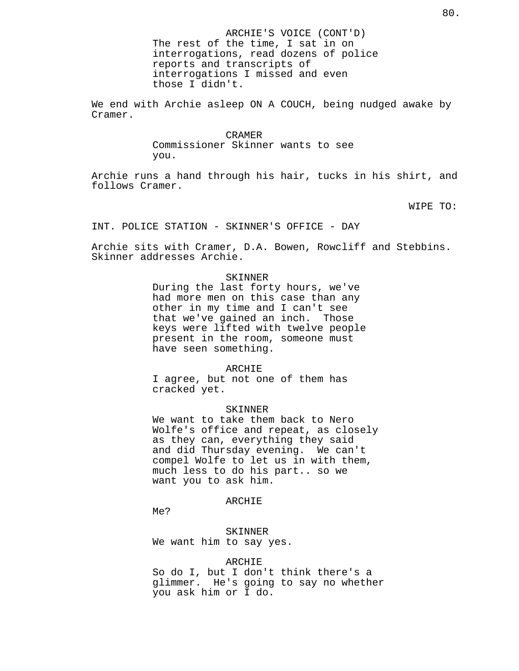We end with Archie asleep ON A COUCH, being nudged awake by Cramer.

#### CRAMER

Commissioner Skinner wants to see you.

Archie runs a hand through his hair, tucks in his shirt, and follows Cramer.

WIPE TO:

INT. POLICE STATION - SKINNER'S OFFICE - DAY

Archie sits with Cramer, D.A. Bowen, Rowcliff and Stebbins. Skinner addresses Archie.

#### SKINNER

During the last forty hours, we've had more men on this case than any other in my time and I can't see that we've gained an inch. Those keys were lifted with twelve people present in the room, someone must have seen something.

## ARCHIE

I agree, but not one of them has cracked yet.

## SKINNER

We want to take them back to Nero Wolfe's office and repeat, as closely as they can, everything they said and did Thursday evening. We can't compel Wolfe to let us in with them, much less to do his part.. so we want you to ask him.

## ARCHIE

Me?

SKINNER We want him to say yes.

### ARCHIE

So do I, but I don't think there's a glimmer. He's going to say no whether you ask him or I do.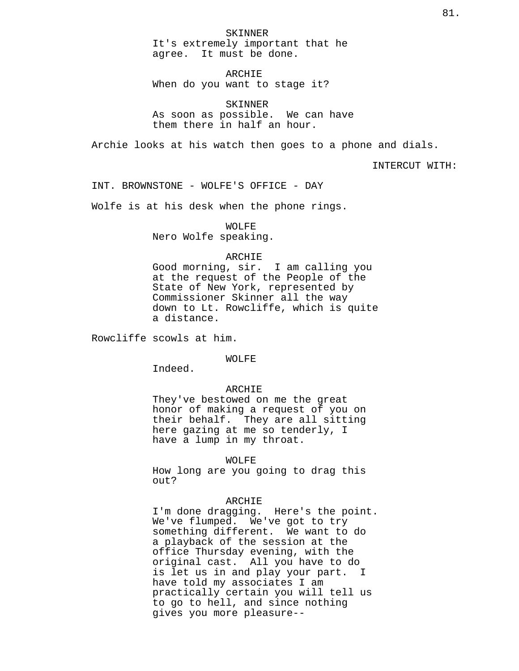SKINNER It's extremely important that he agree. It must be done.

ARCHIE When do you want to stage it?

SKINNER As soon as possible. We can have them there in half an hour.

Archie looks at his watch then goes to a phone and dials.

INTERCUT WITH:

INT. BROWNSTONE - WOLFE'S OFFICE - DAY

Wolfe is at his desk when the phone rings.

WOLFE

Nero Wolfe speaking.

## ARCHIE

Good morning, sir. I am calling you at the request of the People of the State of New York, represented by Commissioner Skinner all the way down to Lt. Rowcliffe, which is quite a distance.

Rowcliffe scowls at him.

#### WOLFE

Indeed.

#### ARCHIE

They've bestowed on me the great honor of making a request of you on their behalf. They are all sitting here gazing at me so tenderly, I have a lump in my throat.

WOLFE

How long are you going to drag this out?

### ARCHIE

I'm done dragging. Here's the point. We've flumped. We've got to try something different. We want to do a playback of the session at the office Thursday evening, with the original cast. All you have to do is let us in and play your part. I have told my associates I am practically certain you will tell us to go to hell, and since nothing gives you more pleasure--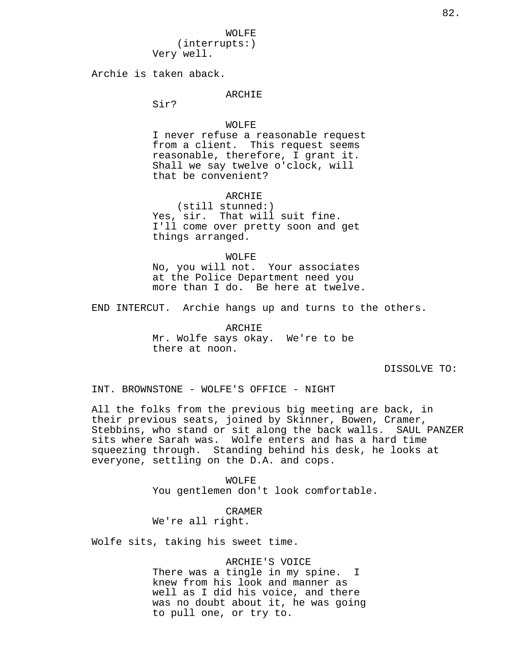WOLFE (interrupts:) Very well.

Archie is taken aback.

## ARCHIE

Sir?

## WOLFE

I never refuse a reasonable request from a client. This request seems reasonable, therefore, I grant it. Shall we say twelve o'clock, will that be convenient?

## ARCHIE

(still stunned:) Yes, sir. That will suit fine. I'll come over pretty soon and get things arranged.

WOLFE No, you will not. Your associates at the Police Department need you more than I do. Be here at twelve.

END INTERCUT. Archie hangs up and turns to the others.

ARCHIE Mr. Wolfe says okay. We're to be there at noon.

DISSOLVE TO:

INT. BROWNSTONE - WOLFE'S OFFICE - NIGHT

All the folks from the previous big meeting are back, in their previous seats, joined by Skinner, Bowen, Cramer, Stebbins, who stand or sit along the back walls. SAUL PANZER sits where Sarah was. Wolfe enters and has a hard time squeezing through. Standing behind his desk, he looks at everyone, settling on the D.A. and cops.

> WOLFE You gentlemen don't look comfortable.

CRAMER We're all right.

Wolfe sits, taking his sweet time.

ARCHIE'S VOICE There was a tingle in my spine. I knew from his look and manner as well as I did his voice, and there was no doubt about it, he was going to pull one, or try to.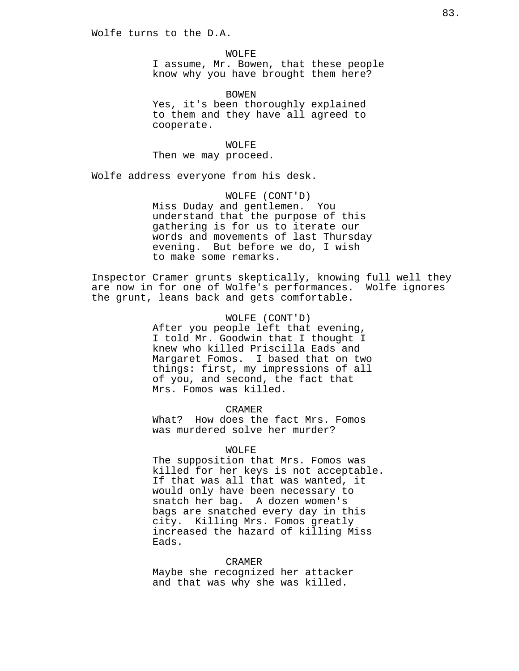WOLFE I assume, Mr. Bowen, that these people know why you have brought them here?

BOWEN Yes, it's been thoroughly explained to them and they have all agreed to cooperate.

WOLFE Then we may proceed.

Wolfe address everyone from his desk.

WOLFE (CONT'D) Miss Duday and gentlemen. You understand that the purpose of this gathering is for us to iterate our words and movements of last Thursday evening. But before we do, I wish to make some remarks.

Inspector Cramer grunts skeptically, knowing full well they are now in for one of Wolfe's performances. Wolfe ignores the grunt, leans back and gets comfortable.

> WOLFE (CONT'D) After you people left that evening, I told Mr. Goodwin that I thought I knew who killed Priscilla Eads and Margaret Fomos. I based that on two things: first, my impressions of all of you, and second, the fact that Mrs. Fomos was killed.

CRAMER What? How does the fact Mrs. Fomos was murdered solve her murder?

#### WOLFE

The supposition that Mrs. Fomos was killed for her keys is not acceptable. If that was all that was wanted, it would only have been necessary to snatch her bag. A dozen women's bags are snatched every day in this city. Killing Mrs. Fomos greatly increased the hazard of killing Miss Eads.

### CRAMER

Maybe she recognized her attacker and that was why she was killed.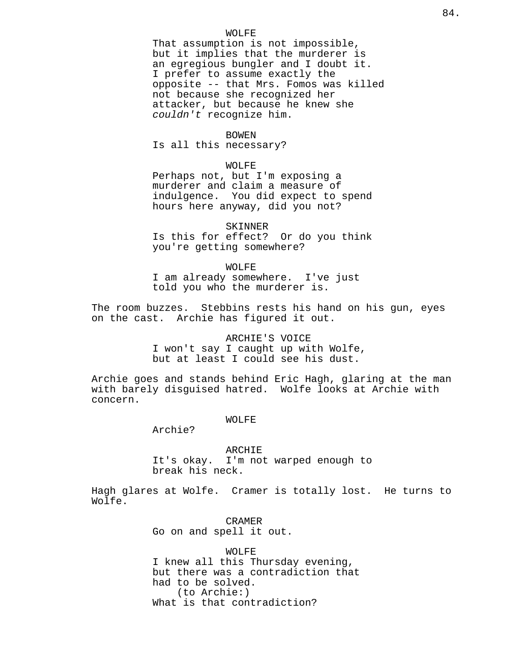### WOLFE

That assumption is not impossible, but it implies that the murderer is an egregious bungler and I doubt it. I prefer to assume exactly the opposite -- that Mrs. Fomos was killed not because she recognized her attacker, but because he knew she couldn't recognize him.

### BOWEN

Is all this necessary?

### WOLFE

Perhaps not, but I'm exposing a murderer and claim a measure of indulgence. You did expect to spend hours here anyway, did you not?

### SKINNER

Is this for effect? Or do you think you're getting somewhere?

#### WOLFE

I am already somewhere. I've just told you who the murderer is.

The room buzzes. Stebbins rests his hand on his gun, eyes on the cast. Archie has figured it out.

> ARCHIE'S VOICE I won't say I caught up with Wolfe, but at least I could see his dust.

Archie goes and stands behind Eric Hagh, glaring at the man with barely disguised hatred. Wolfe looks at Archie with concern.

### WOLFE

Archie?

ARCHIE It's okay. I'm not warped enough to break his neck.

Hagh glares at Wolfe. Cramer is totally lost. He turns to Wolfe.

> CRAMER Go on and spell it out.

WOLFE I knew all this Thursday evening, but there was a contradiction that had to be solved. (to Archie:) What is that contradiction?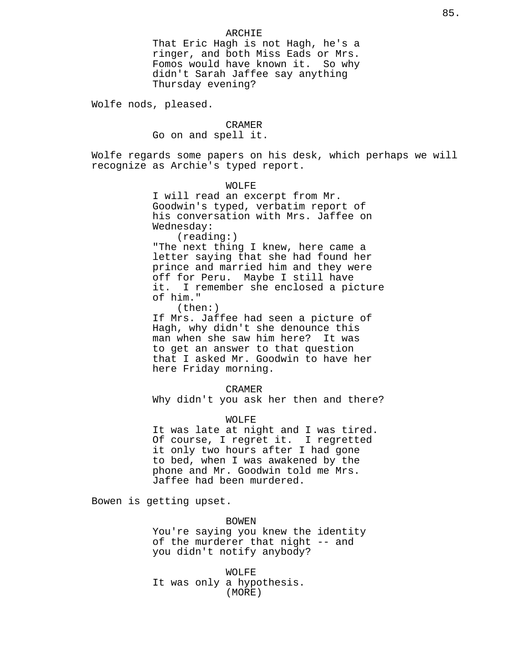That Eric Hagh is not Hagh, he's a ringer, and both Miss Eads or Mrs. Fomos would have known it. So why didn't Sarah Jaffee say anything Thursday evening?

Wolfe nods, pleased.

## CRAMER

Go on and spell it.

Wolfe regards some papers on his desk, which perhaps we will recognize as Archie's typed report.

> WOLFE I will read an excerpt from Mr. Goodwin's typed, verbatim report of his conversation with Mrs. Jaffee on Wednesday: (reading:)

"The next thing I knew, here came a letter saying that she had found her prince and married him and they were off for Peru. Maybe I still have it. I remember she enclosed a picture of him."

(then:)

If Mrs. Jaffee had seen a picture of Hagh, why didn't she denounce this man when she saw him here? It was to get an answer to that question that I asked Mr. Goodwin to have her here Friday morning.

CRAMER

Why didn't you ask her then and there?

WOLFE

It was late at night and I was tired. Of course, I regret it. I regretted it only two hours after I had gone to bed, when I was awakened by the phone and Mr. Goodwin told me Mrs. Jaffee had been murdered.

Bowen is getting upset.

BOWEN You're saying you knew the identity of the murderer that night -- and you didn't notify anybody?

WOLFE It was only a hypothesis. (MORE)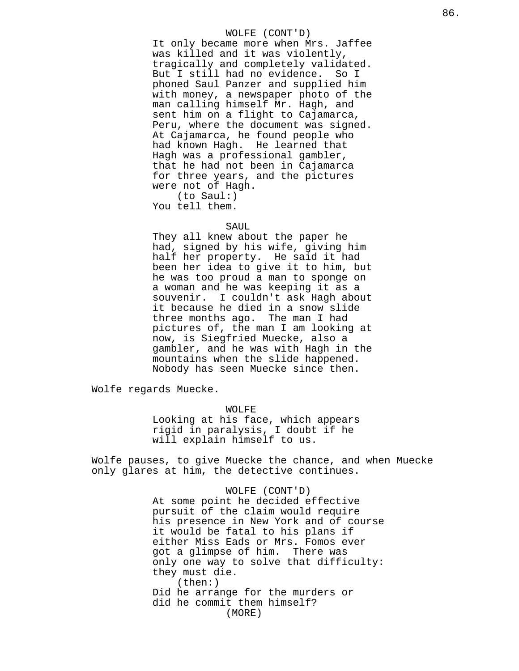## WOLFE (CONT'D)

It only became more when Mrs. Jaffee was killed and it was violently, tragically and completely validated. But I still had no evidence. So I phoned Saul Panzer and supplied him with money, a newspaper photo of the man calling himself Mr. Hagh, and sent him on a flight to Cajamarca, Peru, where the document was signed. At Cajamarca, he found people who had known Hagh. He learned that Hagh was a professional gambler, that he had not been in Cajamarca for three years, and the pictures were not of Hagh. (to Saul:)

You tell them.

### SAUL

They all knew about the paper he had, signed by his wife, giving him half her property. He said it had been her idea to give it to him, but he was too proud a man to sponge on a woman and he was keeping it as a souvenir. I couldn't ask Hagh about it because he died in a snow slide three months ago. The man I had pictures of, the man I am looking at now, is Siegfried Muecke, also a gambler, and he was with Hagh in the mountains when the slide happened. Nobody has seen Muecke since then.

Wolfe regards Muecke.

## WOLFE

Looking at his face, which appears rigid in paralysis, I doubt if he will explain himself to us.

Wolfe pauses, to give Muecke the chance, and when Muecke only glares at him, the detective continues.

> WOLFE (CONT'D) At some point he decided effective pursuit of the claim would require his presence in New York and of course it would be fatal to his plans if either Miss Eads or Mrs. Fomos ever got a glimpse of him. There was only one way to solve that difficulty: they must die. (then:) Did he arrange for the murders or did he commit them himself? (MORE)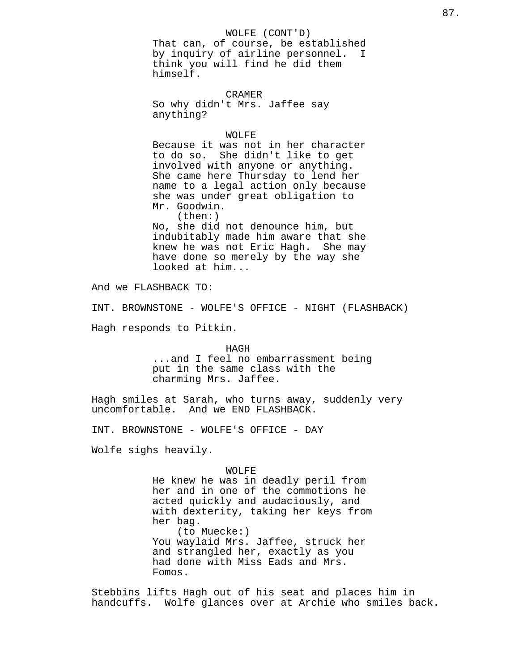# WOLFE (CONT'D)

That can, of course, be established by inquiry of airline personnel. I think you will find he did them himself.

CRAMER So why didn't Mrs. Jaffee say anything?

### WOLFE

Because it was not in her character to do so. She didn't like to get involved with anyone or anything. She came here Thursday to lend her name to a legal action only because she was under great obligation to Mr. Goodwin. (then:) No, she did not denounce him, but indubitably made him aware that she knew he was not Eric Hagh. She may have done so merely by the way she looked at him...

And we FLASHBACK TO:

INT. BROWNSTONE - WOLFE'S OFFICE - NIGHT (FLASHBACK)

Hagh responds to Pitkin.

HAGH

...and I feel no embarrassment being put in the same class with the charming Mrs. Jaffee.

Hagh smiles at Sarah, who turns away, suddenly very uncomfortable. And we END FLASHBACK.

INT. BROWNSTONE - WOLFE'S OFFICE - DAY

Wolfe sighs heavily.

## WOLFE

He knew he was in deadly peril from her and in one of the commotions he acted quickly and audaciously, and with dexterity, taking her keys from her bag. (to Muecke:) You waylaid Mrs. Jaffee, struck her and strangled her, exactly as you had done with Miss Eads and Mrs. Fomos.

Stebbins lifts Hagh out of his seat and places him in handcuffs. Wolfe glances over at Archie who smiles back.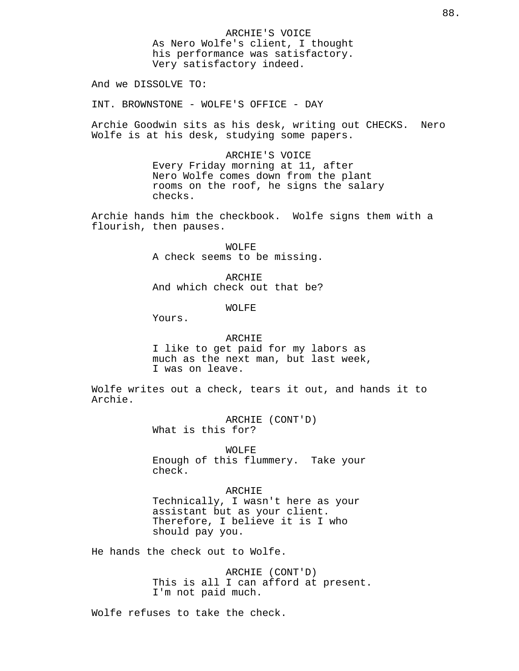ARCHIE'S VOICE As Nero Wolfe's client, I thought his performance was satisfactory. Very satisfactory indeed.

And we DISSOLVE TO:

INT. BROWNSTONE - WOLFE'S OFFICE - DAY

Archie Goodwin sits as his desk, writing out CHECKS. Nero Wolfe is at his desk, studying some papers.

> ARCHIE'S VOICE Every Friday morning at 11, after Nero Wolfe comes down from the plant rooms on the roof, he signs the salary checks.

Archie hands him the checkbook. Wolfe signs them with a flourish, then pauses.

> WOLFE A check seems to be missing.

> ARCHIE And which check out that be?

> > WOLFE

Yours.

# ARCHIE I like to get paid for my labors as much as the next man, but last week, I was on leave.

Wolfe writes out a check, tears it out, and hands it to Archie.

> ARCHIE (CONT'D) What is this for?

WOLFE Enough of this flummery. Take your check.

ARCHIE Technically, I wasn't here as your assistant but as your client. Therefore, I believe it is I who should pay you.

He hands the check out to Wolfe.

ARCHIE (CONT'D) This is all I can afford at present. I'm not paid much.

Wolfe refuses to take the check.